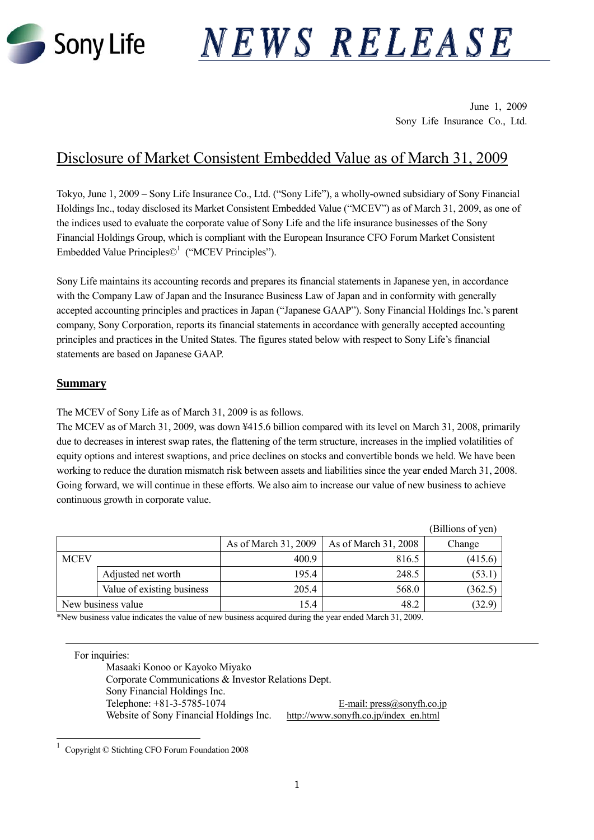

# NEWS RELEASE

June 1, 2009 Sony Life Insurance Co., Ltd.

# Disclosure of Market Consistent Embedded Value as of March 31, 2009

Tokyo, June 1, 2009 – Sony Life Insurance Co., Ltd. ("Sony Life"), a wholly-owned subsidiary of Sony Financial Holdings Inc., today disclosed its Market Consistent Embedded Value ("MCEV") as of March 31, 2009, as one of the indices used to evaluate the corporate value of Sony Life and the life insurance businesses of the Sony Financial Holdings Group, which is compliant with the European Insurance CFO Forum Market Consistent Embedded Value Principles $\mathbb{C}^1$  ("MCEV Principles").

Sony Life maintains its accounting records and prepares its financial statements in Japanese yen, in accordance with the Company Law of Japan and the Insurance Business Law of Japan and in conformity with generally accepted accounting principles and practices in Japan ("Japanese GAAP"). Sony Financial Holdings Inc.'s parent company, Sony Corporation, reports its financial statements in accordance with generally accepted accounting principles and practices in the United States. The figures stated below with respect to Sony Life's financial statements are based on Japanese GAAP.

# **Summary**

 $\overline{a}$ 

The MCEV of Sony Life as of March 31, 2009 is as follows.

The MCEV as of March 31, 2009, was down ¥415.6 billion compared with its level on March 31, 2008, primarily due to decreases in interest swap rates, the flattening of the term structure, increases in the implied volatilities of equity options and interest swaptions, and price declines on stocks and convertible bonds we held. We have been working to reduce the duration mismatch risk between assets and liabilities since the year ended March 31, 2008. Going forward, we will continue in these efforts. We also aim to increase our value of new business to achieve continuous growth in corporate value.

|             |                            |                      |                      | (Billions of yen) |
|-------------|----------------------------|----------------------|----------------------|-------------------|
|             |                            | As of March 31, 2009 | As of March 31, 2008 | Change            |
| <b>MCEV</b> |                            | 400.9                | 816.5                | (415.6)           |
|             | Adjusted net worth         | 195.4                | 248.5                | (53.1)            |
|             | Value of existing business | 205.4                | 568.0                | (362.5)           |
|             | New business value         | 15.4                 | 48.2                 | (32.9)            |

\*New business value indicates the value of new business acquired during the year ended March 31, 2009.

For inquiries: Masaaki Konoo or Kayoko Miyako Corporate Communications & Investor Relations Dept. Sony Financial Holdings Inc. Telephone:  $+81-3-5785-1074$  E-mail: press $@sonyfh.co.jp$ Website of Sony Financial Holdings Inc. http://www.sonyfh.co.jp/index\_en.html

<sup>1</sup> Copyright © Stichting CFO Forum Foundation 2008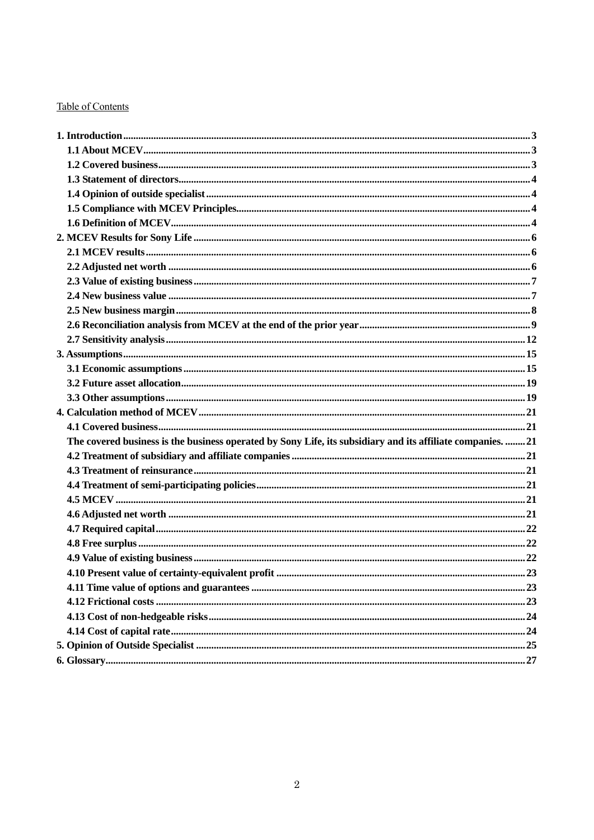# **Table of Contents**

| The covered business is the business operated by Sony Life, its subsidiary and its affiliate companies.  21 |  |
|-------------------------------------------------------------------------------------------------------------|--|
|                                                                                                             |  |
|                                                                                                             |  |
|                                                                                                             |  |
|                                                                                                             |  |
|                                                                                                             |  |
|                                                                                                             |  |
|                                                                                                             |  |
|                                                                                                             |  |
|                                                                                                             |  |
|                                                                                                             |  |
|                                                                                                             |  |
|                                                                                                             |  |
|                                                                                                             |  |
|                                                                                                             |  |
|                                                                                                             |  |
|                                                                                                             |  |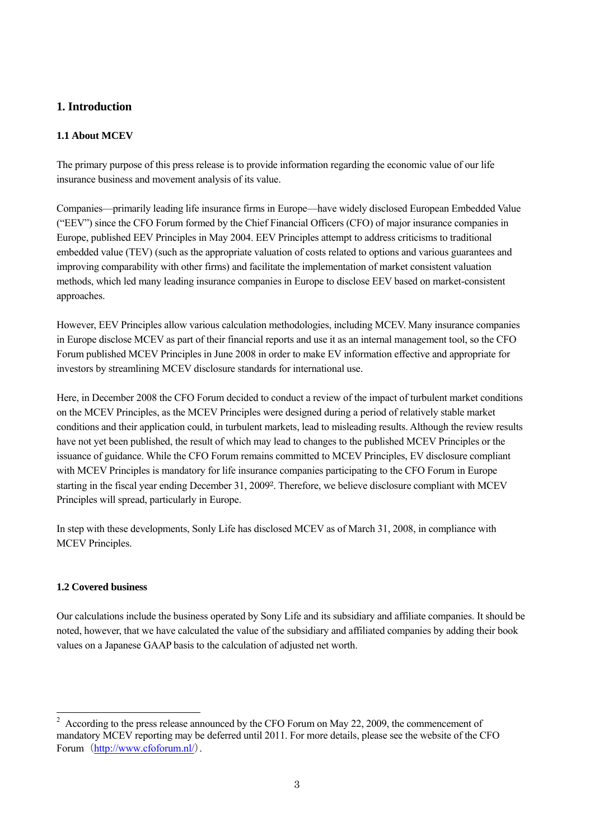# **1. Introduction**

# **1.1 About MCEV**

The primary purpose of this press release is to provide information regarding the economic value of our life insurance business and movement analysis of its value.

Companies—primarily leading life insurance firms in Europe—have widely disclosed European Embedded Value ("EEV") since the CFO Forum formed by the Chief Financial Officers (CFO) of major insurance companies in Europe, published EEV Principles in May 2004. EEV Principles attempt to address criticisms to traditional embedded value (TEV) (such as the appropriate valuation of costs related to options and various guarantees and improving comparability with other firms) and facilitate the implementation of market consistent valuation methods, which led many leading insurance companies in Europe to disclose EEV based on market-consistent approaches.

However, EEV Principles allow various calculation methodologies, including MCEV. Many insurance companies in Europe disclose MCEV as part of their financial reports and use it as an internal management tool, so the CFO Forum published MCEV Principles in June 2008 in order to make EV information effective and appropriate for investors by streamlining MCEV disclosure standards for international use.

Here, in December 2008 the CFO Forum decided to conduct a review of the impact of turbulent market conditions on the MCEV Principles, as the MCEV Principles were designed during a period of relatively stable market conditions and their application could, in turbulent markets, lead to misleading results. Although the review results have not yet been published, the result of which may lead to changes to the published MCEV Principles or the issuance of guidance. While the CFO Forum remains committed to MCEV Principles, EV disclosure compliant with MCEV Principles is mandatory for life insurance companies participating to the CFO Forum in Europe starting in the fiscal year ending December 31, 20092. Therefore, we believe disclosure compliant with MCEV Principles will spread, particularly in Europe.

In step with these developments, Sonly Life has disclosed MCEV as of March 31, 2008, in compliance with MCEV Principles.

# **1.2 Covered business**

Our calculations include the business operated by Sony Life and its subsidiary and affiliate companies. It should be noted, however, that we have calculated the value of the subsidiary and affiliated companies by adding their book values on a Japanese GAAP basis to the calculation of adjusted net worth.

 $\overline{a}$ 2 According to the press release announced by the CFO Forum on May 22, 2009, the commencement of mandatory MCEV reporting may be deferred until 2011. For more details, please see the website of the CFO Forum (http://www.cfoforum.nl/).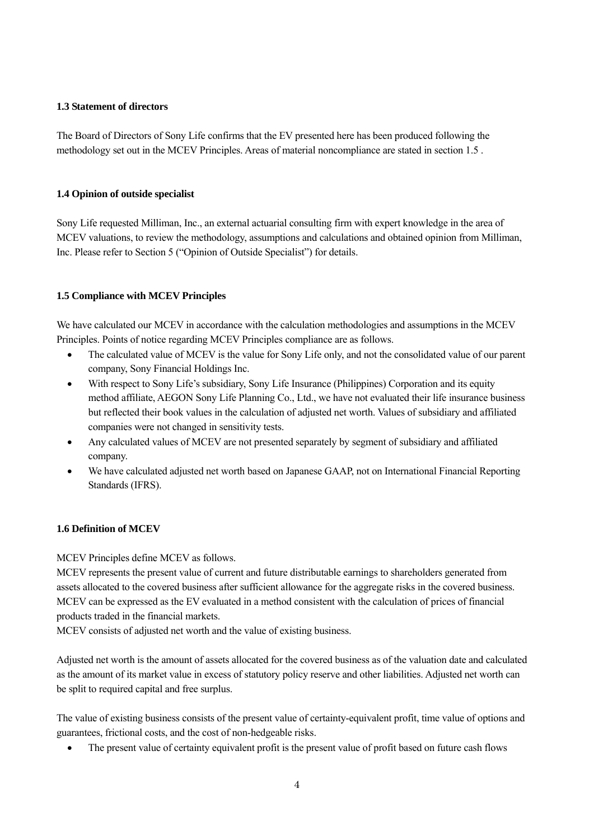#### **1.3 Statement of directors**

The Board of Directors of Sony Life confirms that the EV presented here has been produced following the methodology set out in the MCEV Principles. Areas of material noncompliance are stated in section 1.5 .

# **1.4 Opinion of outside specialist**

Sony Life requested Milliman, Inc., an external actuarial consulting firm with expert knowledge in the area of MCEV valuations, to review the methodology, assumptions and calculations and obtained opinion from Milliman, Inc. Please refer to Section 5 ("Opinion of Outside Specialist") for details.

# **1.5 Compliance with MCEV Principles**

We have calculated our MCEV in accordance with the calculation methodologies and assumptions in the MCEV Principles. Points of notice regarding MCEV Principles compliance are as follows.

- The calculated value of MCEV is the value for Sony Life only, and not the consolidated value of our parent company, Sony Financial Holdings Inc.
- With respect to Sony Life's subsidiary, Sony Life Insurance (Philippines) Corporation and its equity method affiliate, AEGON Sony Life Planning Co., Ltd., we have not evaluated their life insurance business but reflected their book values in the calculation of adjusted net worth. Values of subsidiary and affiliated companies were not changed in sensitivity tests.
- Any calculated values of MCEV are not presented separately by segment of subsidiary and affiliated company.
- We have calculated adjusted net worth based on Japanese GAAP, not on International Financial Reporting Standards (IFRS).

# **1.6 Definition of MCEV**

MCEV Principles define MCEV as follows.

MCEV represents the present value of current and future distributable earnings to shareholders generated from assets allocated to the covered business after sufficient allowance for the aggregate risks in the covered business. MCEV can be expressed as the EV evaluated in a method consistent with the calculation of prices of financial products traded in the financial markets.

MCEV consists of adjusted net worth and the value of existing business.

Adjusted net worth is the amount of assets allocated for the covered business as of the valuation date and calculated as the amount of its market value in excess of statutory policy reserve and other liabilities. Adjusted net worth can be split to required capital and free surplus.

The value of existing business consists of the present value of certainty-equivalent profit, time value of options and guarantees, frictional costs, and the cost of non-hedgeable risks.

• The present value of certainty equivalent profit is the present value of profit based on future cash flows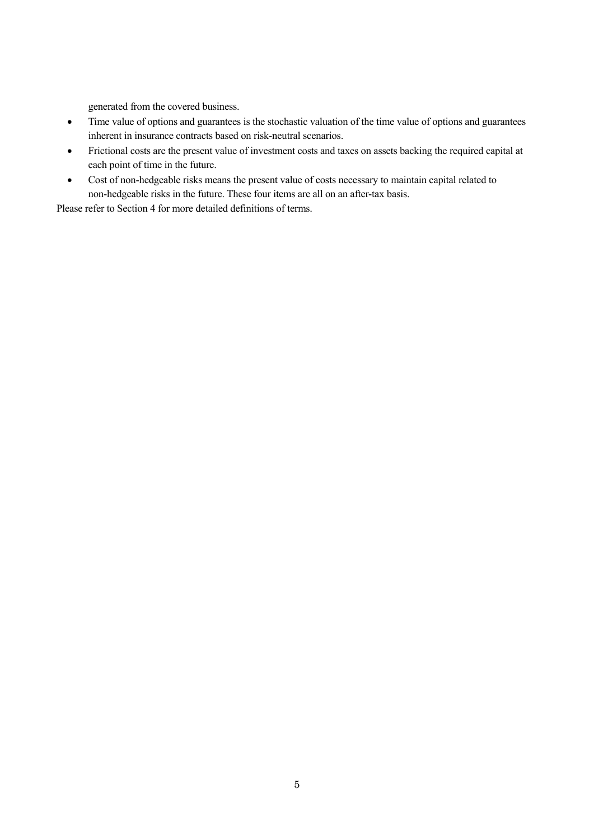generated from the covered business.

- Time value of options and guarantees is the stochastic valuation of the time value of options and guarantees inherent in insurance contracts based on risk-neutral scenarios.
- Frictional costs are the present value of investment costs and taxes on assets backing the required capital at each point of time in the future.
- Cost of non-hedgeable risks means the present value of costs necessary to maintain capital related to non-hedgeable risks in the future. These four items are all on an after-tax basis.

Please refer to Section 4 for more detailed definitions of terms.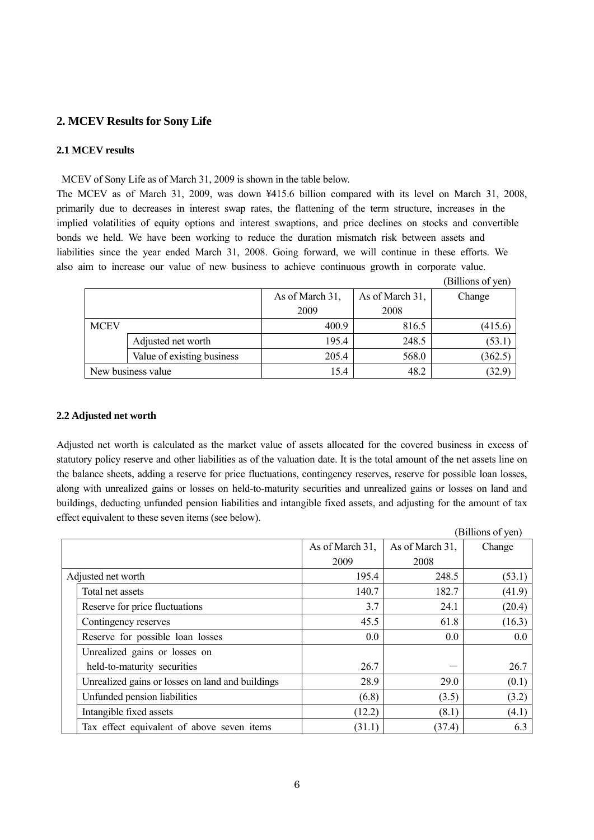# **2. MCEV Results for Sony Life**

#### **2.1 MCEV results**

MCEV of Sony Life as of March 31, 2009 is shown in the table below.

The MCEV as of March 31, 2009, was down ¥415.6 billion compared with its level on March 31, 2008, primarily due to decreases in interest swap rates, the flattening of the term structure, increases in the implied volatilities of equity options and interest swaptions, and price declines on stocks and convertible bonds we held. We have been working to reduce the duration mismatch risk between assets and liabilities since the year ended March 31, 2008. Going forward, we will continue in these efforts. We also aim to increase our value of new business to achieve continuous growth in corporate value.

|             |                            |                 |                 | (Billions of yen) |
|-------------|----------------------------|-----------------|-----------------|-------------------|
|             |                            | As of March 31, | As of March 31, | Change            |
|             |                            | 2009            | 2008            |                   |
| <b>MCEV</b> |                            | 400.9           | 816.5           | (415.6)           |
|             | Adjusted net worth         | 195.4           | 248.5           | (53.1)            |
|             | Value of existing business | 205.4           | 568.0           | (362.5)           |
|             | New business value         | 15.4            | 48.2            | (32.9)            |

#### **2.2 Adjusted net worth**

Adjusted net worth is calculated as the market value of assets allocated for the covered business in excess of statutory policy reserve and other liabilities as of the valuation date. It is the total amount of the net assets line on the balance sheets, adding a reserve for price fluctuations, contingency reserves, reserve for possible loan losses, along with unrealized gains or losses on held-to-maturity securities and unrealized gains or losses on land and buildings, deducting unfunded pension liabilities and intangible fixed assets, and adjusting for the amount of tax effect equivalent to these seven items (see below).

|                                                  |                 |                 | (Billions of yen) |
|--------------------------------------------------|-----------------|-----------------|-------------------|
|                                                  | As of March 31, | As of March 31, | Change            |
|                                                  | 2009            | 2008            |                   |
| Adjusted net worth                               | 195.4           | 248.5           | (53.1)            |
| Total net assets                                 | 140.7           | 182.7           | (41.9)            |
| Reserve for price fluctuations                   | 3.7             | 24.1            | (20.4)            |
| Contingency reserves                             | 45.5            | 61.8            | (16.3)            |
| Reserve for possible loan losses                 | $0.0\,$         | 0.0             | 0.0               |
| Unrealized gains or losses on                    |                 |                 |                   |
| held-to-maturity securities                      | 26.7            |                 | 26.7              |
| Unrealized gains or losses on land and buildings | 28.9            | 29.0            | (0.1)             |
| Unfunded pension liabilities                     | (6.8)           | (3.5)           | (3.2)             |
| Intangible fixed assets                          | (12.2)          | (8.1)           | (4.1)             |
| Tax effect equivalent of above seven items       | (31.1)          | (37.4)          | 6.3               |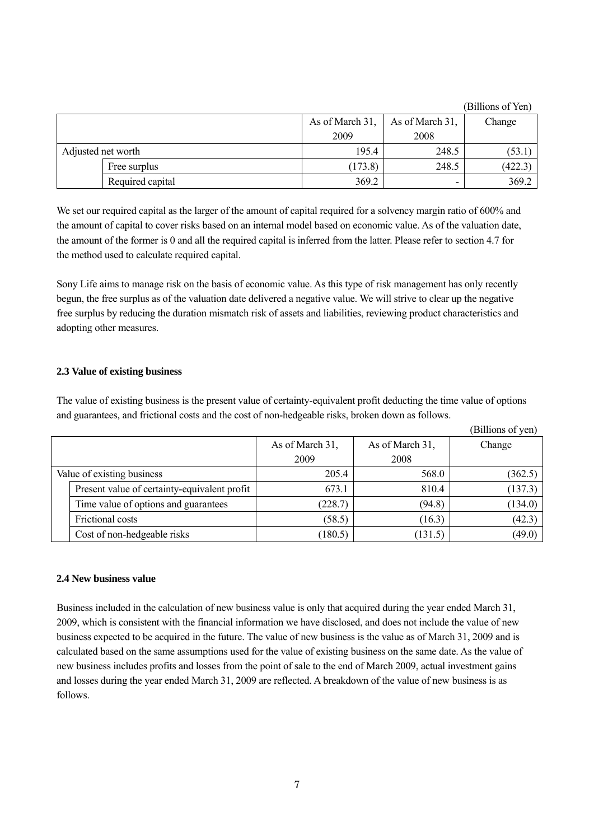|                    |                  |                 |                 | (Billions of Yen) |
|--------------------|------------------|-----------------|-----------------|-------------------|
|                    |                  | As of March 31, | As of March 31, | Change            |
|                    |                  | 2009            | 2008            |                   |
| Adjusted net worth |                  | 195.4           | 248.5           | (53.1             |
|                    | Free surplus     | (173.8)         | 248.5           | (422.3)           |
|                    | Required capital | 369.2           | -               | 369.2             |

We set our required capital as the larger of the amount of capital required for a solvency margin ratio of 600% and the amount of capital to cover risks based on an internal model based on economic value. As of the valuation date, the amount of the former is 0 and all the required capital is inferred from the latter. Please refer to section 4.7 for the method used to calculate required capital.

Sony Life aims to manage risk on the basis of economic value. As this type of risk management has only recently begun, the free surplus as of the valuation date delivered a negative value. We will strive to clear up the negative free surplus by reducing the duration mismatch risk of assets and liabilities, reviewing product characteristics and adopting other measures.

#### **2.3 Value of existing business**

The value of existing business is the present value of certainty-equivalent profit deducting the time value of options and guarantees, and frictional costs and the cost of non-hedgeable risks, broken down as follows.

|                                              |                 |                 | (Billions of yen) |
|----------------------------------------------|-----------------|-----------------|-------------------|
|                                              | As of March 31, | As of March 31, | Change            |
|                                              | 2009            | 2008            |                   |
| Value of existing business                   | 205.4           | 568.0           | (362.5)           |
| Present value of certainty-equivalent profit | 673.1           | 810.4           | (137.3)           |
| Time value of options and guarantees         | (228.7)         | (94.8)          | (134.0)           |
| Frictional costs                             | (58.5)          | (16.3)          | (42.3)            |
| Cost of non-hedgeable risks                  | (180.5)         | (131.5)         | (49.0)            |

#### **2.4 New business value**

Business included in the calculation of new business value is only that acquired during the year ended March 31, 2009, which is consistent with the financial information we have disclosed, and does not include the value of new business expected to be acquired in the future. The value of new business is the value as of March 31, 2009 and is calculated based on the same assumptions used for the value of existing business on the same date. As the value of new business includes profits and losses from the point of sale to the end of March 2009, actual investment gains and losses during the year ended March 31, 2009 are reflected. A breakdown of the value of new business is as follows.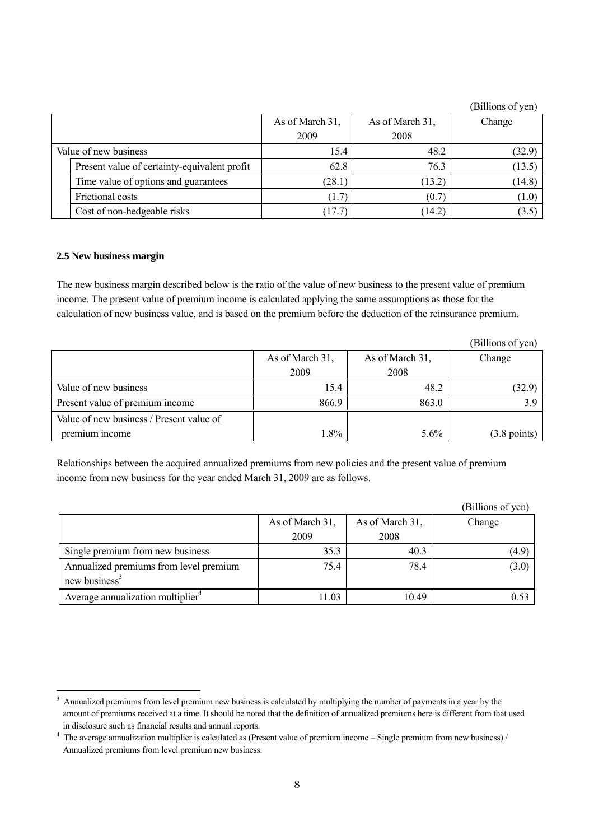|                                              |                 |                 | (Billions of yen) |
|----------------------------------------------|-----------------|-----------------|-------------------|
|                                              | As of March 31, | As of March 31, | Change            |
|                                              | 2009            | 2008            |                   |
| Value of new business                        | 15.4            | 48.2            | (32.9)            |
| Present value of certainty-equivalent profit | 62.8            | 76.3            | (13.5)            |
| Time value of options and guarantees         | (28.1)          | (13.2)          | (14.8)            |
| Frictional costs                             | (1.7)           | (0.7)           | (1.0)             |
| Cost of non-hedgeable risks                  | (17.7)          | (14.2)          | (3.5)             |

#### **2.5 New business margin**

 $\overline{a}$ 

The new business margin described below is the ratio of the value of new business to the present value of premium income. The present value of premium income is calculated applying the same assumptions as those for the calculation of new business value, and is based on the premium before the deduction of the reinsurance premium.

|                                          |                 |                 | (Billions of yen)      |
|------------------------------------------|-----------------|-----------------|------------------------|
|                                          | As of March 31, | As of March 31, | Change                 |
|                                          | 2009            | 2008            |                        |
| Value of new business                    | 15.4            | 48.2            | (32.9)                 |
| Present value of premium income          | 866.9           | 863.0           | 3.9                    |
| Value of new business / Present value of |                 |                 |                        |
| premium income                           | $1.8\%$         | $5.6\%$         | $(3.8 \text{ points})$ |

Relationships between the acquired annualized premiums from new policies and the present value of premium income from new business for the year ended March 31, 2009 are as follows.

|                                               |                 |                 | (Billions of yen) |
|-----------------------------------------------|-----------------|-----------------|-------------------|
|                                               | As of March 31, | As of March 31, | Change            |
|                                               | 2009            | 2008            |                   |
| Single premium from new business              | 35.3            | 40.3            | (4.9)             |
| Annualized premiums from level premium        | 75.4            | 78.4            | (3.0)             |
| new business $3$                              |                 |                 |                   |
| Average annualization multiplier <sup>4</sup> | 11.03           | 10.49           | 0.53              |

<sup>&</sup>lt;sup>3</sup> Annualized premiums from level premium new business is calculated by multiplying the number of payments in a year by the amount of premiums received at a time. It should be noted that the definition of annualized premiums here is different from that used in disclosure such as financial results and annual reports.

 $4$  The average annualization multiplier is calculated as (Present value of premium income – Single premium from new business) / Annualized premiums from level premium new business.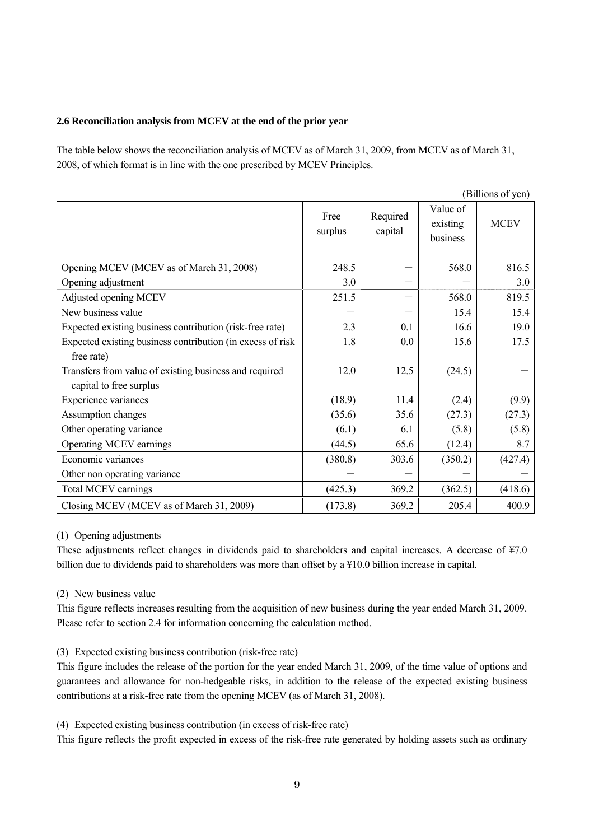#### **2.6 Reconciliation analysis from MCEV at the end of the prior year**

The table below shows the reconciliation analysis of MCEV as of March 31, 2009, from MCEV as of March 31, 2008, of which format is in line with the one prescribed by MCEV Principles.

|                                                            |                 |                     |                                  | (Billions of yen) |
|------------------------------------------------------------|-----------------|---------------------|----------------------------------|-------------------|
|                                                            | Free<br>surplus | Required<br>capital | Value of<br>existing<br>business | <b>MCEV</b>       |
| Opening MCEV (MCEV as of March 31, 2008)                   | 248.5           |                     | 568.0                            | 816.5             |
| Opening adjustment                                         | 3.0             |                     |                                  | 3.0               |
| Adjusted opening MCEV                                      | 251.5           |                     | 568.0                            | 819.5             |
| New business value                                         |                 |                     | 15.4                             | 15.4              |
| Expected existing business contribution (risk-free rate)   | 2.3             | 0.1                 | 16.6                             | 19.0              |
| Expected existing business contribution (in excess of risk | 1.8             | 0.0                 | 15.6                             | 17.5              |
| free rate)                                                 |                 |                     |                                  |                   |
| Transfers from value of existing business and required     | 12.0            | 12.5                | (24.5)                           |                   |
| capital to free surplus                                    |                 |                     |                                  |                   |
| Experience variances                                       | (18.9)          | 11.4                | (2.4)                            | (9.9)             |
| Assumption changes                                         | (35.6)          | 35.6                | (27.3)                           | (27.3)            |
| Other operating variance                                   | (6.1)           | 6.1                 | (5.8)                            | (5.8)             |
| Operating MCEV earnings                                    | (44.5)          | 65.6                | (12.4)                           | 8.7               |
| Economic variances                                         | (380.8)         | 303.6               | (350.2)                          | (427.4)           |
| Other non operating variance                               |                 |                     |                                  |                   |
| Total MCEV earnings                                        | (425.3)         | 369.2               | (362.5)                          | (418.6)           |
| Closing MCEV (MCEV as of March 31, 2009)                   | (173.8)         | 369.2               | 205.4                            | 400.9             |

#### (1) Opening adjustments

These adjustments reflect changes in dividends paid to shareholders and capital increases. A decrease of ¥7.0 billion due to dividends paid to shareholders was more than offset by a ¥10.0 billion increase in capital.

# (2) New business value

This figure reflects increases resulting from the acquisition of new business during the year ended March 31, 2009. Please refer to section 2.4 for information concerning the calculation method.

# (3) Expected existing business contribution (risk-free rate)

This figure includes the release of the portion for the year ended March 31, 2009, of the time value of options and guarantees and allowance for non-hedgeable risks, in addition to the release of the expected existing business contributions at a risk-free rate from the opening MCEV (as of March 31, 2008).

(4) Expected existing business contribution (in excess of risk-free rate)

This figure reflects the profit expected in excess of the risk-free rate generated by holding assets such as ordinary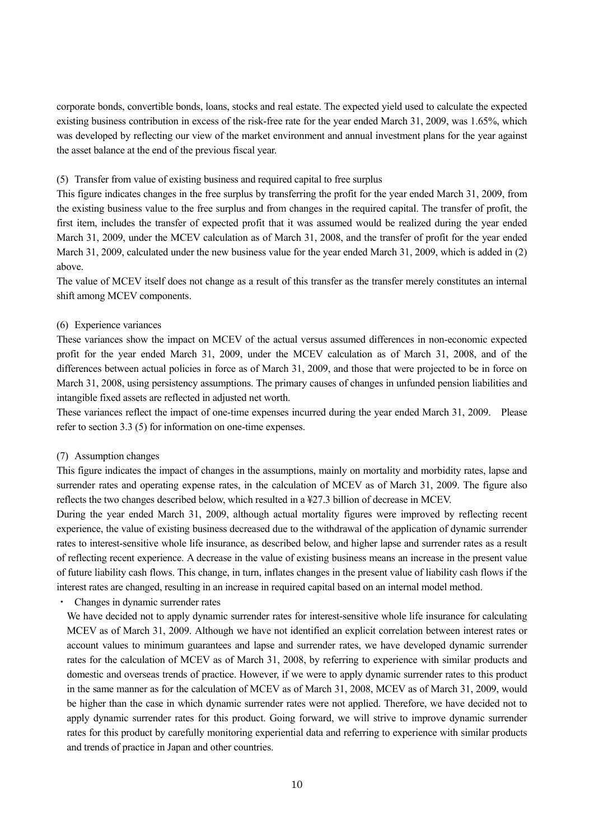corporate bonds, convertible bonds, loans, stocks and real estate. The expected yield used to calculate the expected existing business contribution in excess of the risk-free rate for the year ended March 31, 2009, was 1.65%, which was developed by reflecting our view of the market environment and annual investment plans for the year against the asset balance at the end of the previous fiscal year.

#### (5) Transfer from value of existing business and required capital to free surplus

This figure indicates changes in the free surplus by transferring the profit for the year ended March 31, 2009, from the existing business value to the free surplus and from changes in the required capital. The transfer of profit, the first item, includes the transfer of expected profit that it was assumed would be realized during the year ended March 31, 2009, under the MCEV calculation as of March 31, 2008, and the transfer of profit for the year ended March 31, 2009, calculated under the new business value for the year ended March 31, 2009, which is added in (2) above.

The value of MCEV itself does not change as a result of this transfer as the transfer merely constitutes an internal shift among MCEV components.

#### (6) Experience variances

These variances show the impact on MCEV of the actual versus assumed differences in non-economic expected profit for the year ended March 31, 2009, under the MCEV calculation as of March 31, 2008, and of the differences between actual policies in force as of March 31, 2009, and those that were projected to be in force on March 31, 2008, using persistency assumptions. The primary causes of changes in unfunded pension liabilities and intangible fixed assets are reflected in adjusted net worth.

These variances reflect the impact of one-time expenses incurred during the year ended March 31, 2009. Please refer to section 3.3 (5) for information on one-time expenses.

#### (7) Assumption changes

This figure indicates the impact of changes in the assumptions, mainly on mortality and morbidity rates, lapse and surrender rates and operating expense rates, in the calculation of MCEV as of March 31, 2009. The figure also reflects the two changes described below, which resulted in a ¥27.3 billion of decrease in MCEV.

During the year ended March 31, 2009, although actual mortality figures were improved by reflecting recent experience, the value of existing business decreased due to the withdrawal of the application of dynamic surrender rates to interest-sensitive whole life insurance, as described below, and higher lapse and surrender rates as a result of reflecting recent experience. A decrease in the value of existing business means an increase in the present value of future liability cash flows. This change, in turn, inflates changes in the present value of liability cash flows if the interest rates are changed, resulting in an increase in required capital based on an internal model method.

#### Changes in dynamic surrender rates

We have decided not to apply dynamic surrender rates for interest-sensitive whole life insurance for calculating MCEV as of March 31, 2009. Although we have not identified an explicit correlation between interest rates or account values to minimum guarantees and lapse and surrender rates, we have developed dynamic surrender rates for the calculation of MCEV as of March 31, 2008, by referring to experience with similar products and domestic and overseas trends of practice. However, if we were to apply dynamic surrender rates to this product in the same manner as for the calculation of MCEV as of March 31, 2008, MCEV as of March 31, 2009, would be higher than the case in which dynamic surrender rates were not applied. Therefore, we have decided not to apply dynamic surrender rates for this product. Going forward, we will strive to improve dynamic surrender rates for this product by carefully monitoring experiential data and referring to experience with similar products and trends of practice in Japan and other countries.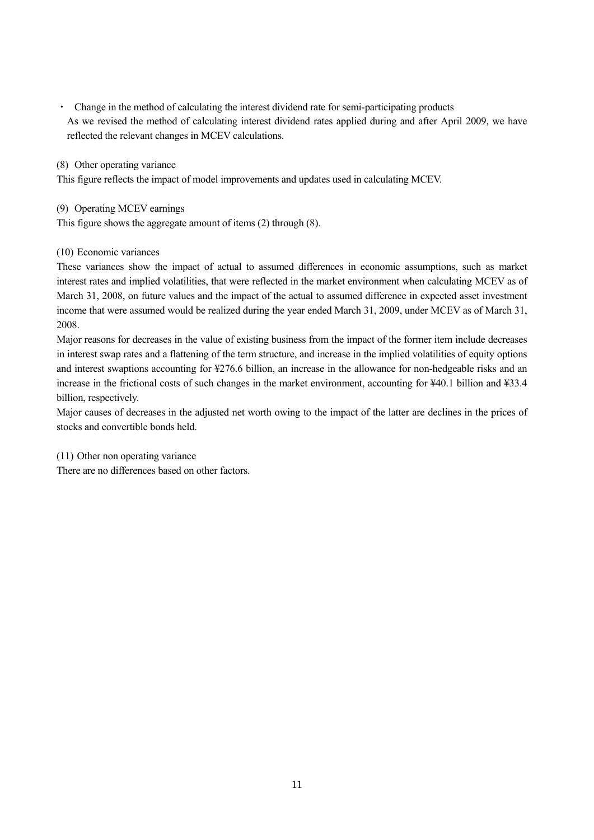・ Change in the method of calculating the interest dividend rate for semi-participating products As we revised the method of calculating interest dividend rates applied during and after April 2009, we have reflected the relevant changes in MCEV calculations.

(8) Other operating variance

This figure reflects the impact of model improvements and updates used in calculating MCEV.

#### (9) Operating MCEV earnings

This figure shows the aggregate amount of items (2) through (8).

#### (10) Economic variances

These variances show the impact of actual to assumed differences in economic assumptions, such as market interest rates and implied volatilities, that were reflected in the market environment when calculating MCEV as of March 31, 2008, on future values and the impact of the actual to assumed difference in expected asset investment income that were assumed would be realized during the year ended March 31, 2009, under MCEV as of March 31, 2008.

Major reasons for decreases in the value of existing business from the impact of the former item include decreases in interest swap rates and a flattening of the term structure, and increase in the implied volatilities of equity options and interest swaptions accounting for ¥276.6 billion, an increase in the allowance for non-hedgeable risks and an increase in the frictional costs of such changes in the market environment, accounting for ¥40.1 billion and ¥33.4 billion, respectively.

Major causes of decreases in the adjusted net worth owing to the impact of the latter are declines in the prices of stocks and convertible bonds held.

#### (11) Other non operating variance

There are no differences based on other factors.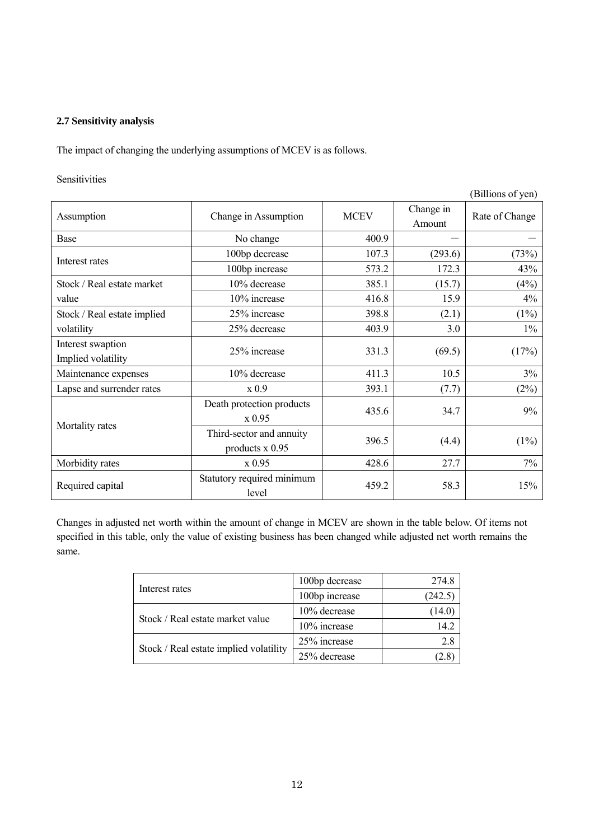#### **2.7 Sensitivity analysis**

The impact of changing the underlying assumptions of MCEV is as follows.

#### Sensitivities

|                             |                            |             |                     | (Billions of yen) |
|-----------------------------|----------------------------|-------------|---------------------|-------------------|
| Assumption                  | Change in Assumption       | <b>MCEV</b> | Change in<br>Amount | Rate of Change    |
| Base                        | No change                  | 400.9       |                     |                   |
| Interest rates              | 100bp decrease             | 107.3       | (293.6)             | (73%)             |
|                             | 100bp increase             | 573.2       | 172.3               | 43%               |
| Stock / Real estate market  | 10% decrease               | 385.1       | (15.7)              | (4%)              |
| value                       | 10% increase               | 416.8       | 15.9                | 4%                |
| Stock / Real estate implied | 25% increase               | 398.8       | (2.1)               | (1%)              |
| volatility                  | 25% decrease               | 403.9       | 3.0                 | $1\%$             |
| Interest swaption           | 25% increase               | 331.3       |                     |                   |
| Implied volatility          |                            |             | (69.5)              | (17%)             |
| Maintenance expenses        | 10% decrease               | 411.3       | 10.5                | 3%                |
| Lapse and surrender rates   | x 0.9                      | 393.1       | (7.7)               | (2%)              |
|                             | Death protection products  | 435.6       | 34.7                | 9%                |
| Mortality rates             | x0.95                      |             |                     |                   |
|                             | Third-sector and annuity   | 396.5       | (4.4)               | $(1\%)$           |
|                             | products $x$ 0.95          |             |                     |                   |
| Morbidity rates             | x 0.95                     | 428.6       | 27.7                | 7%                |
| Required capital            | Statutory required minimum | 459.2       | 58.3                | 15%               |
|                             | level                      |             |                     |                   |

Changes in adjusted net worth within the amount of change in MCEV are shown in the table below. Of items not specified in this table, only the value of existing business has been changed while adjusted net worth remains the same.

|                                        | 100bp decrease | 274.8   |
|----------------------------------------|----------------|---------|
| Interest rates                         | 100bp increase | (242.5) |
|                                        | 10% decrease   | (14.0)  |
| Stock / Real estate market value       | 10% increase   | 14 2    |
|                                        | 25% increase   | 2.8     |
| Stock / Real estate implied volatility | 25% decrease   |         |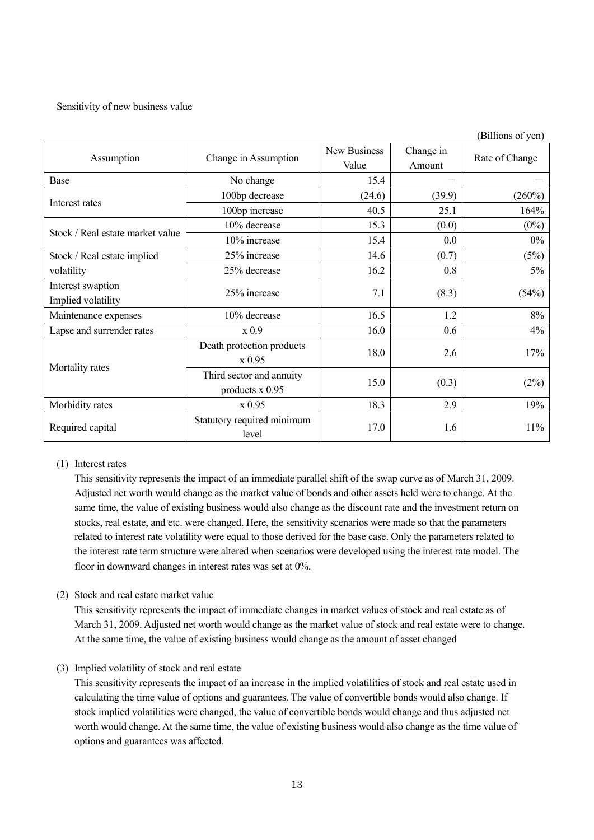#### Sensitivity of new business value

|                                  |                                     |                       |                     | (Billions of yen) |  |
|----------------------------------|-------------------------------------|-----------------------|---------------------|-------------------|--|
| Assumption                       | Change in Assumption                | New Business<br>Value | Change in<br>Amount | Rate of Change    |  |
| Base                             | No change                           | 15.4                  |                     |                   |  |
|                                  | 100bp decrease                      | (24.6)                | (39.9)              | (260%)            |  |
| Interest rates                   | 100bp increase                      | 40.5                  | 25.1                | 164%              |  |
|                                  | 10% decrease                        | 15.3                  | (0.0)               | $(0\%)$           |  |
| Stock / Real estate market value | 10% increase                        | 15.4                  | 0.0                 | $0\%$             |  |
| Stock / Real estate implied      | 25% increase                        | 14.6                  | (0.7)               | (5%)              |  |
| volatility                       | 25% decrease                        | 16.2                  | 0.8                 | $5\%$             |  |
| Interest swaption                | 25% increase                        | 7.1                   |                     | (54%)             |  |
| Implied volatility               |                                     |                       | (8.3)               |                   |  |
| Maintenance expenses             | 10% decrease                        | 16.5                  | 1.2                 | 8%                |  |
| Lapse and surrender rates        | x0.9                                | 16.0                  | 0.6                 | 4%                |  |
|                                  | Death protection products           | 18.0                  | 2.6                 | 17%               |  |
| Mortality rates                  | x 0.95                              |                       |                     |                   |  |
|                                  | Third sector and annuity            | 15.0                  | (0.3)               |                   |  |
|                                  | products $x$ 0.95                   |                       |                     | (2%)              |  |
| Morbidity rates                  | x 0.95                              | 18.3                  | 2.9                 | 19%               |  |
| Required capital                 | Statutory required minimum<br>level | 17.0                  | 1.6                 | $11\%$            |  |

# (1) Interest rates

This sensitivity represents the impact of an immediate parallel shift of the swap curve as of March 31, 2009. Adjusted net worth would change as the market value of bonds and other assets held were to change. At the same time, the value of existing business would also change as the discount rate and the investment return on stocks, real estate, and etc. were changed. Here, the sensitivity scenarios were made so that the parameters related to interest rate volatility were equal to those derived for the base case. Only the parameters related to the interest rate term structure were altered when scenarios were developed using the interest rate model. The floor in downward changes in interest rates was set at 0%.

(2) Stock and real estate market value

This sensitivity represents the impact of immediate changes in market values of stock and real estate as of March 31, 2009. Adjusted net worth would change as the market value of stock and real estate were to change. At the same time, the value of existing business would change as the amount of asset changed

(3) Implied volatility of stock and real estate

This sensitivity represents the impact of an increase in the implied volatilities of stock and real estate used in calculating the time value of options and guarantees. The value of convertible bonds would also change. If stock implied volatilities were changed, the value of convertible bonds would change and thus adjusted net worth would change. At the same time, the value of existing business would also change as the time value of options and guarantees was affected.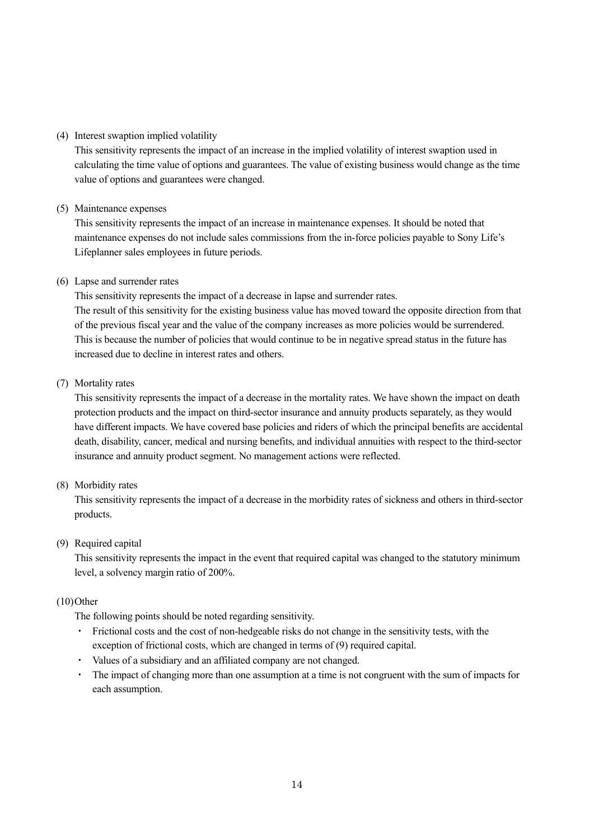#### (4) Interest swaption implied volatility

This sensitivity represents the impact of an increase in the implied volatility of interest swaption used in calculating the time value of options and guarantees. The value of existing business would change as the time value of options and guarantees were changed.

#### (5) Maintenance expenses

This sensitivity represents the impact of an increase in maintenance expenses. It should be noted that maintenance expenses do not include sales commissions from the in-force policies payable to Sony Life's Lifeplanner sales employees in future periods.

#### (6) Lapse and surrender rates

This sensitivity represents the impact of a decrease in lapse and surrender rates. The result of this sensitivity for the existing business value has moved toward the opposite direction from that of the previous fiscal year and the value of the company increases as more policies would be surrendered. This is because the number of policies that would continue to be in negative spread status in the future has increased due to decline in interest rates and others.

#### (7) Mortality rates

This sensitivity represents the impact of a decrease in the mortality rates. We have shown the impact on death protection products and the impact on third-sector insurance and annuity products separately, as they would have different impacts. We have covered base policies and riders of which the principal benefits are accidental death, disability, cancer, medical and nursing benefits, and individual annuities with respect to the third-sector insurance and annuity product segment. No management actions were reflected.

#### (8) Morbidity rates

This sensitivity represents the impact of a decrease in the morbidity rates of sickness and others in third-sector products.

#### (9) Required capital

This sensitivity represents the impact in the event that required capital was changed to the statutory minimum level, a solvency margin ratio of 200%.

#### $(10)$ Other

The following points should be noted regarding sensitivity.

- ・ Frictional costs and the cost of non-hedgeable risks do not change in the sensitivity tests, with the exception of frictional costs, which are changed in terms of (9) required capital.
- Values of a subsidiary and an affiliated company are not changed.
- ・ The impact of changing more than one assumption at a time is not congruent with the sum of impacts for each assumption.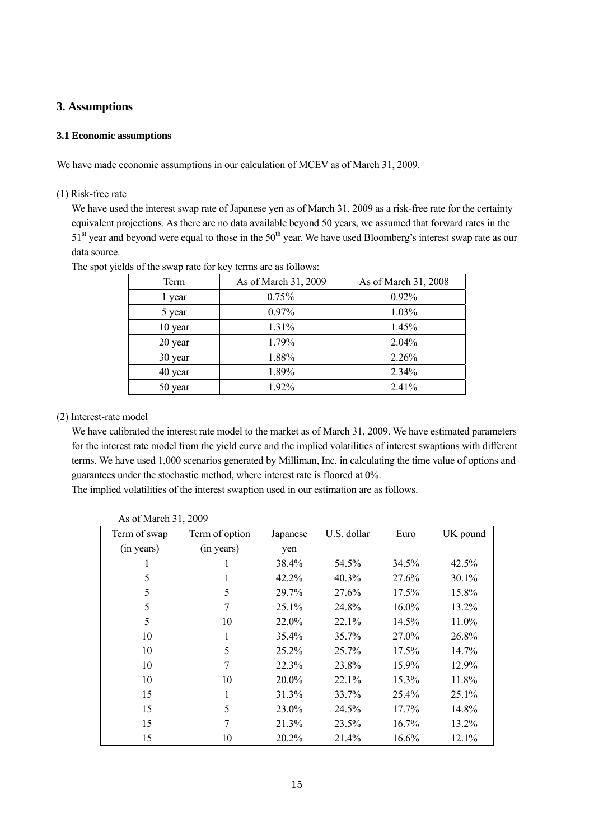# **3. Assumptions**

#### **3.1 Economic assumptions**

We have made economic assumptions in our calculation of MCEV as of March 31, 2009.

#### (1) Risk-free rate

We have used the interest swap rate of Japanese yen as of March 31, 2009 as a risk-free rate for the certainty equivalent projections. As there are no data available beyond 50 years, we assumed that forward rates in the  $51<sup>st</sup>$  year and beyond were equal to those in the  $50<sup>th</sup>$  year. We have used Bloomberg's interest swap rate as our data source.

| Term    | As of March 31, 2009 | As of March 31, 2008 |
|---------|----------------------|----------------------|
| 1 year  | $0.75\%$             | 0.92%                |
| 5 year  | 0.97%                | 1.03%                |
| 10 year | 1.31%                | 1.45%                |
| 20 year | 1.79%                | 2.04%                |
| 30 year | 1.88%                | 2.26%                |
| 40 year | 1.89%                | 2.34%                |
| 50 year | 1.92%                | 2.41%                |

The spot yields of the swap rate for key terms are as follows:

#### (2) Interest-rate model

We have calibrated the interest rate model to the market as of March 31, 2009. We have estimated parameters for the interest rate model from the yield curve and the implied volatilities of interest swaptions with different terms. We have used 1,000 scenarios generated by Milliman, Inc. in calculating the time value of options and guarantees under the stochastic method, where interest rate is floored at 0%.

The implied volatilities of the interest swaption used in our estimation are as follows.

| Term of swap | Term of option | Japanese | U.S. dollar | Euro  | UK pound |
|--------------|----------------|----------|-------------|-------|----------|
| (in years)   | (in years)     | yen      |             |       |          |
| 1            |                | 38.4%    | 54.5%       | 34.5% | 42.5%    |
| 5            | 1              | 42.2%    | 40.3%       | 27.6% | 30.1%    |
| 5            | 5              | 29.7%    | 27.6%       | 17.5% | 15.8%    |
| 5            | 7              | 25.1%    | 24.8%       | 16.0% | 13.2%    |
| 5            | 10             | 22.0%    | 22.1%       | 14.5% | 11.0%    |
| 10           | 1              | 35.4%    | 35.7%       | 27.0% | 26.8%    |
| 10           | 5              | 25.2%    | 25.7%       | 17.5% | 14.7%    |
| 10           | 7              | 22.3%    | 23.8%       | 15.9% | 12.9%    |
| 10           | 10             | 20.0%    | 22.1%       | 15.3% | 11.8%    |
| 15           | 1              | 31.3%    | 33.7%       | 25.4% | 25.1%    |
| 15           | 5              | 23.0%    | 24.5%       | 17.7% | 14.8%    |
| 15           | 7              | 21.3%    | 23.5%       | 16.7% | 13.2%    |
| 15           | 10             | 20.2%    | 21.4%       | 16.6% | 12.1%    |

As of March 31, 2009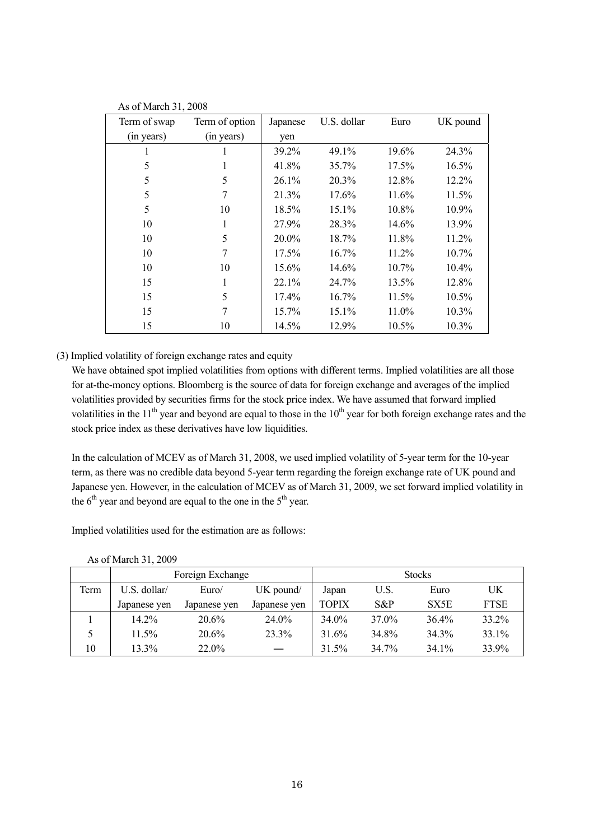| Term of swap | Term of option | Japanese | U.S. dollar | Euro     | UK pound |
|--------------|----------------|----------|-------------|----------|----------|
| (in years)   | (in years)     | yen      |             |          |          |
| 1            |                | 39.2%    | 49.1%       | 19.6%    | 24.3%    |
| 5            | 1              | 41.8%    | 35.7%       | 17.5%    | $16.5\%$ |
| 5            | 5              | 26.1%    | 20.3%       | 12.8%    | 12.2%    |
| 5            |                | 21.3%    | 17.6%       | 11.6%    | 11.5%    |
| 5            | 10             | 18.5%    | 15.1%       | 10.8%    | 10.9%    |
| 10           | 1              | 27.9%    | 28.3%       | 14.6%    | 13.9%    |
| 10           | 5              | 20.0%    | 18.7%       | 11.8%    | 11.2%    |
| 10           | 7              | 17.5%    | $16.7\%$    | 11.2%    | $10.7\%$ |
| 10           | 10             | 15.6%    | 14.6%       | $10.7\%$ | $10.4\%$ |
| 15           |                | $22.1\%$ | 24.7%       | 13.5%    | 12.8%    |
| 15           | 5              | 17.4%    | 16.7%       | 11.5%    | 10.5%    |
| 15           | 7              | 15.7%    | 15.1%       | 11.0%    | $10.3\%$ |
| 15           | 10             | 14.5%    | 12.9%       | 10.5%    | 10.3%    |

As of March 31, 2008

#### (3) Implied volatility of foreign exchange rates and equity

We have obtained spot implied volatilities from options with different terms. Implied volatilities are all those for at-the-money options. Bloomberg is the source of data for foreign exchange and averages of the implied volatilities provided by securities firms for the stock price index. We have assumed that forward implied volatilities in the  $11<sup>th</sup>$  year and beyond are equal to those in the  $10<sup>th</sup>$  year for both foreign exchange rates and the stock price index as these derivatives have low liquidities.

In the calculation of MCEV as of March 31, 2008, we used implied volatility of 5-year term for the 10-year term, as there was no credible data beyond 5-year term regarding the foreign exchange rate of UK pound and Japanese yen. However, in the calculation of MCEV as of March 31, 2009, we set forward implied volatility in the  $6<sup>th</sup>$  year and beyond are equal to the one in the  $5<sup>th</sup>$  year.

Implied volatilities used for the estimation are as follows:

|      |              | Foreign Exchange |              |       |       | <b>Stocks</b> |             |
|------|--------------|------------------|--------------|-------|-------|---------------|-------------|
| Term | U.S. dollar/ | Euro/            | UK pound/    | Japan | U.S.  | Euro          | UK          |
|      | Japanese yen | Japanese yen     | Japanese yen | TOPIX | S&P   | SX5E          | <b>FTSE</b> |
|      | 14.2%        | 20.6%            | 24.0%        | 34.0% | 37.0% | 36.4%         | 33.2%       |
|      | 11.5%        | 20.6%            | 23.3%        | 31.6% | 34.8% | 34.3%         | 33.1%       |
| 10   | 13.3%        | 22.0%            |              | 31.5% | 34.7% | 34.1%         | 33.9%       |

As of March 31, 2009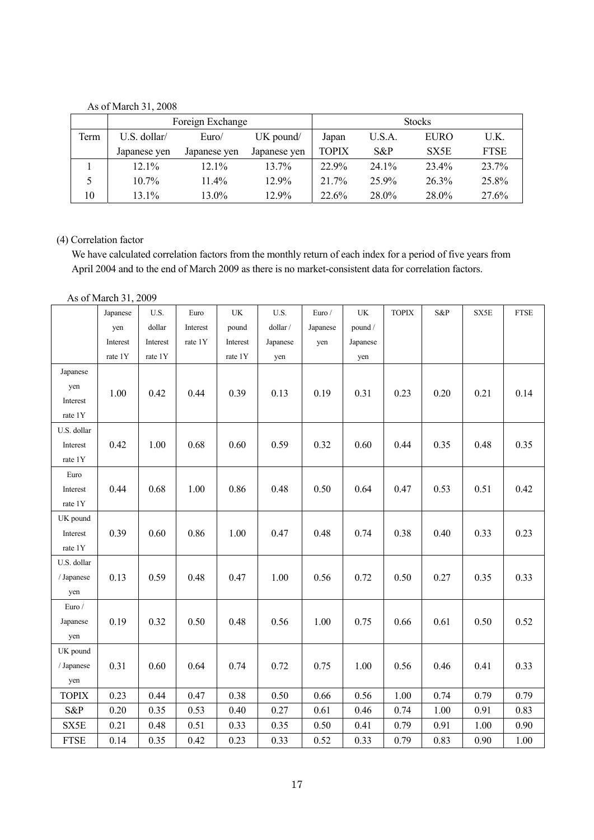# As of March 31, 2008

|      |              | Foreign Exchange |              |       |        | <b>Stocks</b> |             |
|------|--------------|------------------|--------------|-------|--------|---------------|-------------|
| Term | U.S. dollar/ | Euro/            | UK pound/    | Japan | U.S.A. | <b>EURO</b>   | U.K.        |
|      | Japanese yen | Japanese yen     | Japanese yen | TOPIX | $S\&P$ | SX5E          | <b>FTSE</b> |
|      | $12.1\%$     | $12.1\%$         | 13.7%        | 22.9% | 24.1%  | 23.4%         | 23.7%       |
|      | $10.7\%$     | $11.4\%$         | 12.9%        | 21.7% | 25.9%  | 26.3%         | 25.8%       |
| 10   | 13.1%        | 13.0%            | 12.9%        | 22.6% | 28.0%  | 28.0%         | 27.6%       |

# (4) Correlation factor

We have calculated correlation factors from the monthly return of each index for a period of five years from April 2004 and to the end of March 2009 as there is no market-consistent data for correlation factors.

As of March 31, 2009

|              | Japanese | U.S.     | Euro     | $\ensuremath{\text{UK}}\xspace$ | U.S.     | Euro /   | UK       | <b>TOPIX</b> | S&P  | SX5E | <b>FTSE</b> |
|--------------|----------|----------|----------|---------------------------------|----------|----------|----------|--------------|------|------|-------------|
|              | yen      | dollar   | Interest | pound                           | dollar / | Japanese | pound /  |              |      |      |             |
|              | Interest | Interest | rate 1Y  | Interest                        | Japanese | yen      | Japanese |              |      |      |             |
|              | rate 1Y  | rate 1Y  |          | rate 1Y                         | yen      |          | yen      |              |      |      |             |
| Japanese     |          |          |          |                                 |          |          |          |              |      |      |             |
| yen          | 1.00     | 0.42     | 0.44     | 0.39                            | 0.13     | 0.19     | 0.31     | 0.23         |      | 0.21 | 0.14        |
| Interest     |          |          |          |                                 |          |          |          |              | 0.20 |      |             |
| rate 1Y      |          |          |          |                                 |          |          |          |              |      |      |             |
| U.S. dollar  |          |          |          |                                 |          |          |          |              |      |      |             |
| Interest     | 0.42     | 1.00     | 0.68     | 0.60                            | 0.59     | 0.32     | 0.60     | 0.44         | 0.35 | 0.48 | 0.35        |
| rate 1Y      |          |          |          |                                 |          |          |          |              |      |      |             |
| Euro         |          |          |          |                                 |          |          |          |              |      |      |             |
| Interest     | 0.44     | 0.68     | 1.00     | 0.86                            | 0.48     | 0.50     | 0.64     | 0.47         | 0.53 | 0.51 | 0.42        |
| rate 1Y      |          |          |          |                                 |          |          |          |              |      |      |             |
| UK pound     |          |          |          |                                 |          |          |          |              |      |      |             |
| Interest     | 0.39     | 0.60     | 0.86     | 1.00                            | 0.47     | 0.48     | 0.74     | 0.38         | 0.40 | 0.33 | 0.23        |
| rate 1Y      |          |          |          |                                 |          |          |          |              |      |      |             |
| U.S. dollar  |          |          |          |                                 |          |          |          |              |      |      |             |
| / Japanese   | 0.13     | 0.59     | 0.48     | 0.47                            | 1.00     | 0.56     | 0.72     | 0.50         | 0.27 | 0.35 | 0.33        |
| yen          |          |          |          |                                 |          |          |          |              |      |      |             |
| Euro /       |          |          |          |                                 |          |          |          |              |      |      |             |
| Japanese     | 0.19     | 0.32     | 0.50     | 0.48                            | 0.56     | 1.00     | 0.75     | 0.66         | 0.61 | 0.50 | 0.52        |
| yen          |          |          |          |                                 |          |          |          |              |      |      |             |
| UK pound     |          |          |          |                                 |          |          |          |              |      |      |             |
| / Japanese   | 0.31     | 0.60     | 0.64     | 0.74                            | 0.72     | 0.75     | 1.00     | 0.56         | 0.46 | 0.41 | 0.33        |
| yen          |          |          |          |                                 |          |          |          |              |      |      |             |
| <b>TOPIX</b> | 0.23     | 0.44     | 0.47     | 0.38                            | 0.50     | 0.66     | 0.56     | 1.00         | 0.74 | 0.79 | 0.79        |
| S&P          | 0.20     | 0.35     | 0.53     | 0.40                            | 0.27     | 0.61     | 0.46     | 0.74         | 1.00 | 0.91 | 0.83        |
| SX5E         | 0.21     | 0.48     | 0.51     | 0.33                            | 0.35     | 0.50     | 0.41     | 0.79         | 0.91 | 1.00 | 0.90        |
| <b>FTSE</b>  | 0.14     | 0.35     | 0.42     | 0.23                            | 0.33     | 0.52     | 0.33     | 0.79         | 0.83 | 0.90 | 1.00        |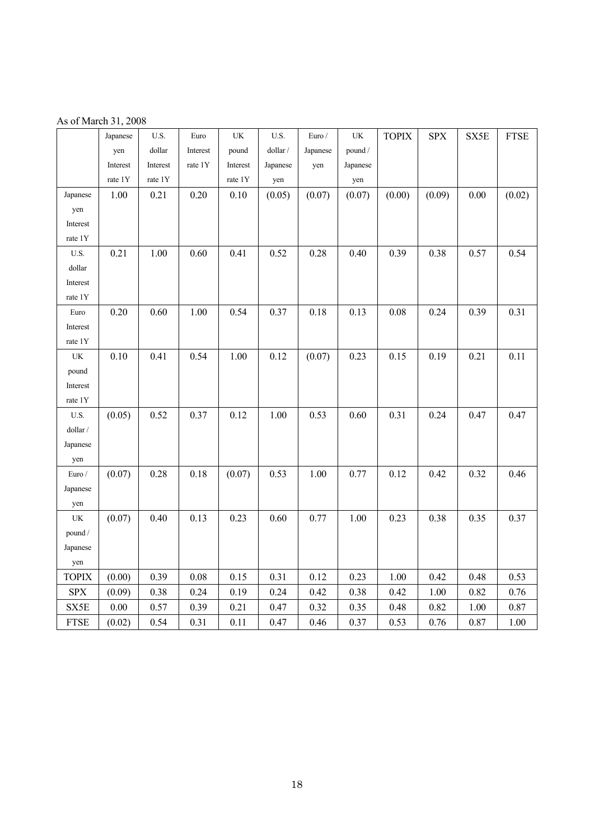|  |  | As of March 31, 2008 |
|--|--|----------------------|
|  |  |                      |

|                                 | Japanese | U.S.     | Euro     | $\ensuremath{\text{UK}}\xspace$ | U.S.     | Euro $\prime$ | $\ensuremath{\text{UK}}\xspace$ | <b>TOPIX</b> | <b>SPX</b> | SX5E | <b>FTSE</b> |
|---------------------------------|----------|----------|----------|---------------------------------|----------|---------------|---------------------------------|--------------|------------|------|-------------|
|                                 | yen      | dollar   | Interest | pound                           | dollar / | Japanese      | pound /                         |              |            |      |             |
|                                 | Interest | Interest | rate 1Y  | Interest                        | Japanese | yen           | Japanese                        |              |            |      |             |
|                                 | rate 1Y  | rate 1Y  |          | rate 1Y                         | yen      |               | yen                             |              |            |      |             |
| Japanese                        | 1.00     | 0.21     | $0.20\,$ | 0.10                            | (0.05)   | (0.07)        | (0.07)                          | (0.00)       | (0.09)     | 0.00 | (0.02)      |
| yen                             |          |          |          |                                 |          |               |                                 |              |            |      |             |
| Interest                        |          |          |          |                                 |          |               |                                 |              |            |      |             |
| rate 1Y                         |          |          |          |                                 |          |               |                                 |              |            |      |             |
| $\mathbf{U}.\mathbf{S}.$        | 0.21     | 1.00     | 0.60     | 0.41                            | 0.52     | 0.28          | 0.40                            | 0.39         | 0.38       | 0.57 | 0.54        |
| dollar                          |          |          |          |                                 |          |               |                                 |              |            |      |             |
| Interest                        |          |          |          |                                 |          |               |                                 |              |            |      |             |
| rate 1Y                         |          |          |          |                                 |          |               |                                 |              |            |      |             |
| Euro                            | 0.20     | 0.60     | 1.00     | 0.54                            | 0.37     | 0.18          | 0.13                            | $0.08\,$     | 0.24       | 0.39 | 0.31        |
| Interest                        |          |          |          |                                 |          |               |                                 |              |            |      |             |
| rate 1Y                         |          |          |          |                                 |          |               |                                 |              |            |      |             |
| UK                              | $0.10\,$ | 0.41     | 0.54     | $1.00\,$                        | 0.12     | (0.07)        | 0.23                            | 0.15         | 0.19       | 0.21 | 0.11        |
| pound                           |          |          |          |                                 |          |               |                                 |              |            |      |             |
| Interest                        |          |          |          |                                 |          |               |                                 |              |            |      |             |
| rate 1Y                         |          |          |          |                                 |          |               |                                 |              |            |      |             |
| $\mathbf{U}.\mathbf{S}.$        | (0.05)   | 0.52     | 0.37     | 0.12                            | 1.00     | 0.53          | 0.60                            | 0.31         | 0.24       | 0.47 | 0.47        |
| dollar /                        |          |          |          |                                 |          |               |                                 |              |            |      |             |
| Japanese                        |          |          |          |                                 |          |               |                                 |              |            |      |             |
| yen                             |          |          |          |                                 |          |               |                                 |              |            |      |             |
| Euro $\prime$                   | (0.07)   | 0.28     | 0.18     | (0.07)                          | 0.53     | 1.00          | 0.77                            | 0.12         | 0.42       | 0.32 | 0.46        |
| Japanese                        |          |          |          |                                 |          |               |                                 |              |            |      |             |
| yen                             |          |          |          |                                 |          |               |                                 |              |            |      |             |
| $\ensuremath{\text{UK}}\xspace$ | (0.07)   | $0.40\,$ | 0.13     | 0.23                            | 0.60     | 0.77          | 1.00                            | 0.23         | 0.38       | 0.35 | 0.37        |
| pound /                         |          |          |          |                                 |          |               |                                 |              |            |      |             |
| Japanese                        |          |          |          |                                 |          |               |                                 |              |            |      |             |
| yen                             |          |          |          |                                 |          |               |                                 |              |            |      |             |
| <b>TOPIX</b>                    | (0.00)   | 0.39     | 0.08     | $0.15\,$                        | 0.31     | 0.12          | 0.23                            | $1.00\,$     | 0.42       | 0.48 | 0.53        |
| <b>SPX</b>                      | (0.09)   | 0.38     | 0.24     | 0.19                            | 0.24     | 0.42          | 0.38                            | 0.42         | $1.00\,$   | 0.82 | 0.76        |
| SX5E                            | $0.00\,$ | 0.57     | 0.39     | 0.21                            | 0.47     | 0.32          | 0.35                            | 0.48         | 0.82       | 1.00 | 0.87        |
| <b>FTSE</b>                     | (0.02)   | 0.54     | 0.31     | 0.11                            | 0.47     | 0.46          | 0.37                            | 0.53         | 0.76       | 0.87 | 1.00        |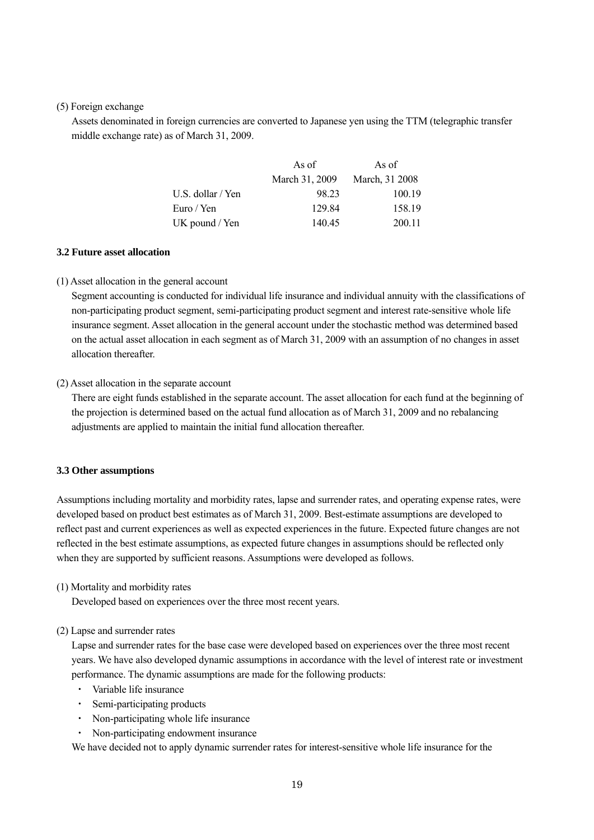#### (5) Foreign exchange

Assets denominated in foreign currencies are converted to Japanese yen using the TTM (telegraphic transfer middle exchange rate) as of March 31, 2009.

|                   | As of          | As of          |
|-------------------|----------------|----------------|
|                   | March 31, 2009 | March, 31 2008 |
| U.S. dollar / Yen | 98 23          | 100.19         |
| Euro / Yen        | 129.84         | 158.19         |
| UK pound / Yen    | 140.45         | 200.11         |

#### **3.2 Future asset allocation**

#### (1) Asset allocation in the general account

Segment accounting is conducted for individual life insurance and individual annuity with the classifications of non-participating product segment, semi-participating product segment and interest rate-sensitive whole life insurance segment. Asset allocation in the general account under the stochastic method was determined based on the actual asset allocation in each segment as of March 31, 2009 with an assumption of no changes in asset allocation thereafter.

#### (2) Asset allocation in the separate account

There are eight funds established in the separate account. The asset allocation for each fund at the beginning of the projection is determined based on the actual fund allocation as of March 31, 2009 and no rebalancing adjustments are applied to maintain the initial fund allocation thereafter.

#### **3.3 Other assumptions**

Assumptions including mortality and morbidity rates, lapse and surrender rates, and operating expense rates, were developed based on product best estimates as of March 31, 2009. Best-estimate assumptions are developed to reflect past and current experiences as well as expected experiences in the future. Expected future changes are not reflected in the best estimate assumptions, as expected future changes in assumptions should be reflected only when they are supported by sufficient reasons. Assumptions were developed as follows.

#### (1) Mortality and morbidity rates

Developed based on experiences over the three most recent years.

#### (2) Lapse and surrender rates

Lapse and surrender rates for the base case were developed based on experiences over the three most recent years. We have also developed dynamic assumptions in accordance with the level of interest rate or investment performance. The dynamic assumptions are made for the following products:

- Variable life insurance
- Semi-participating products
- ・ Non-participating whole life insurance
- ・ Non-participating endowment insurance

We have decided not to apply dynamic surrender rates for interest-sensitive whole life insurance for the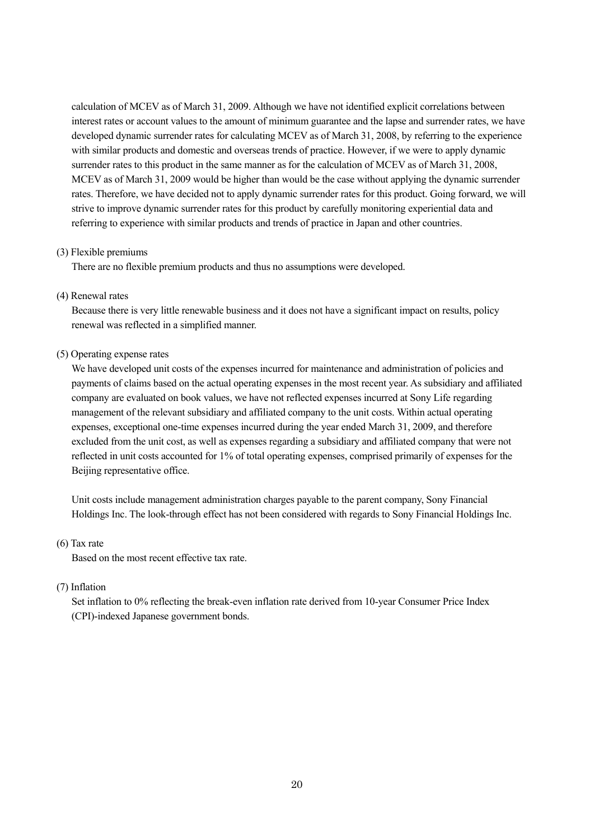calculation of MCEV as of March 31, 2009. Although we have not identified explicit correlations between interest rates or account values to the amount of minimum guarantee and the lapse and surrender rates, we have developed dynamic surrender rates for calculating MCEV as of March 31, 2008, by referring to the experience with similar products and domestic and overseas trends of practice. However, if we were to apply dynamic surrender rates to this product in the same manner as for the calculation of MCEV as of March 31, 2008, MCEV as of March 31, 2009 would be higher than would be the case without applying the dynamic surrender rates. Therefore, we have decided not to apply dynamic surrender rates for this product. Going forward, we will strive to improve dynamic surrender rates for this product by carefully monitoring experiential data and referring to experience with similar products and trends of practice in Japan and other countries.

#### (3) Flexible premiums

There are no flexible premium products and thus no assumptions were developed.

#### (4) Renewal rates

Because there is very little renewable business and it does not have a significant impact on results, policy renewal was reflected in a simplified manner.

#### (5) Operating expense rates

We have developed unit costs of the expenses incurred for maintenance and administration of policies and payments of claims based on the actual operating expenses in the most recent year. As subsidiary and affiliated company are evaluated on book values, we have not reflected expenses incurred at Sony Life regarding management of the relevant subsidiary and affiliated company to the unit costs. Within actual operating expenses, exceptional one-time expenses incurred during the year ended March 31, 2009, and therefore excluded from the unit cost, as well as expenses regarding a subsidiary and affiliated company that were not reflected in unit costs accounted for 1% of total operating expenses, comprised primarily of expenses for the Beijing representative office.

Unit costs include management administration charges payable to the parent company, Sony Financial Holdings Inc. The look-through effect has not been considered with regards to Sony Financial Holdings Inc.

#### (6) Tax rate

Based on the most recent effective tax rate.

#### (7) Inflation

Set inflation to 0% reflecting the break-even inflation rate derived from 10-year Consumer Price Index (CPI)-indexed Japanese government bonds.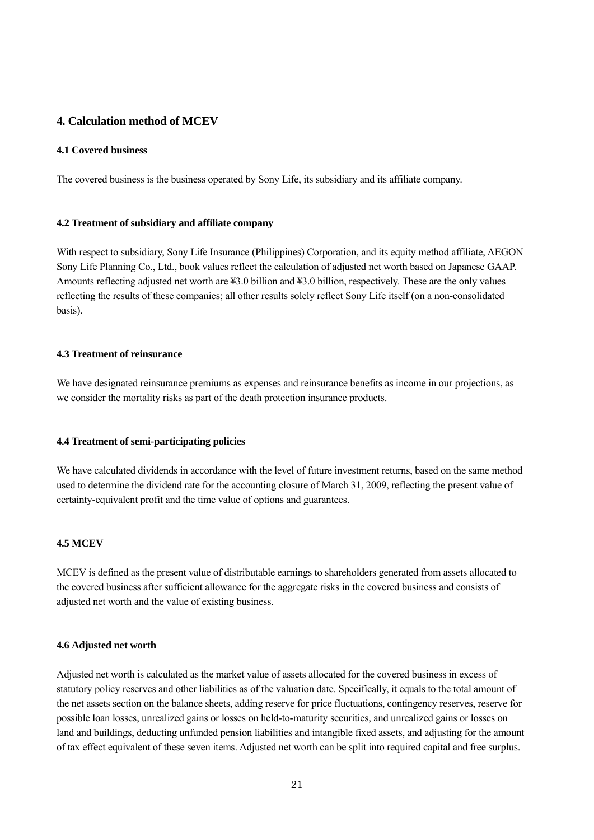# **4. Calculation method of MCEV**

#### **4.1 Covered business**

The covered business is the business operated by Sony Life, its subsidiary and its affiliate company.

#### **4.2 Treatment of subsidiary and affiliate company**

With respect to subsidiary, Sony Life Insurance (Philippines) Corporation, and its equity method affiliate, AEGON Sony Life Planning Co., Ltd., book values reflect the calculation of adjusted net worth based on Japanese GAAP. Amounts reflecting adjusted net worth are ¥3.0 billion and ¥3.0 billion, respectively. These are the only values reflecting the results of these companies; all other results solely reflect Sony Life itself (on a non-consolidated basis).

#### **4.3 Treatment of reinsurance**

We have designated reinsurance premiums as expenses and reinsurance benefits as income in our projections, as we consider the mortality risks as part of the death protection insurance products.

#### **4.4 Treatment of semi-participating policies**

We have calculated dividends in accordance with the level of future investment returns, based on the same method used to determine the dividend rate for the accounting closure of March 31, 2009, reflecting the present value of certainty-equivalent profit and the time value of options and guarantees.

#### **4.5 MCEV**

MCEV is defined as the present value of distributable earnings to shareholders generated from assets allocated to the covered business after sufficient allowance for the aggregate risks in the covered business and consists of adjusted net worth and the value of existing business.

#### **4.6 Adjusted net worth**

Adjusted net worth is calculated as the market value of assets allocated for the covered business in excess of statutory policy reserves and other liabilities as of the valuation date. Specifically, it equals to the total amount of the net assets section on the balance sheets, adding reserve for price fluctuations, contingency reserves, reserve for possible loan losses, unrealized gains or losses on held-to-maturity securities, and unrealized gains or losses on land and buildings, deducting unfunded pension liabilities and intangible fixed assets, and adjusting for the amount of tax effect equivalent of these seven items. Adjusted net worth can be split into required capital and free surplus.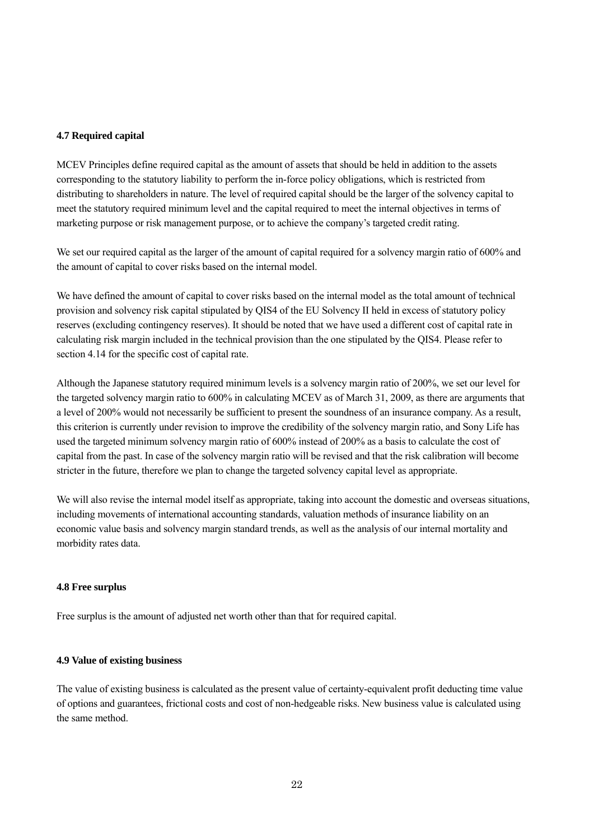#### **4.7 Required capital**

MCEV Principles define required capital as the amount of assets that should be held in addition to the assets corresponding to the statutory liability to perform the in-force policy obligations, which is restricted from distributing to shareholders in nature. The level of required capital should be the larger of the solvency capital to meet the statutory required minimum level and the capital required to meet the internal objectives in terms of marketing purpose or risk management purpose, or to achieve the company's targeted credit rating.

We set our required capital as the larger of the amount of capital required for a solvency margin ratio of 600% and the amount of capital to cover risks based on the internal model.

We have defined the amount of capital to cover risks based on the internal model as the total amount of technical provision and solvency risk capital stipulated by QIS4 of the EU Solvency II held in excess of statutory policy reserves (excluding contingency reserves). It should be noted that we have used a different cost of capital rate in calculating risk margin included in the technical provision than the one stipulated by the QIS4. Please refer to section 4.14 for the specific cost of capital rate.

Although the Japanese statutory required minimum levels is a solvency margin ratio of 200%, we set our level for the targeted solvency margin ratio to 600% in calculating MCEV as of March 31, 2009, as there are arguments that a level of 200% would not necessarily be sufficient to present the soundness of an insurance company. As a result, this criterion is currently under revision to improve the credibility of the solvency margin ratio, and Sony Life has used the targeted minimum solvency margin ratio of 600% instead of 200% as a basis to calculate the cost of capital from the past. In case of the solvency margin ratio will be revised and that the risk calibration will become stricter in the future, therefore we plan to change the targeted solvency capital level as appropriate.

We will also revise the internal model itself as appropriate, taking into account the domestic and overseas situations, including movements of international accounting standards, valuation methods of insurance liability on an economic value basis and solvency margin standard trends, as well as the analysis of our internal mortality and morbidity rates data.

#### **4.8 Free surplus**

Free surplus is the amount of adjusted net worth other than that for required capital.

#### **4.9 Value of existing business**

The value of existing business is calculated as the present value of certainty-equivalent profit deducting time value of options and guarantees, frictional costs and cost of non-hedgeable risks. New business value is calculated using the same method.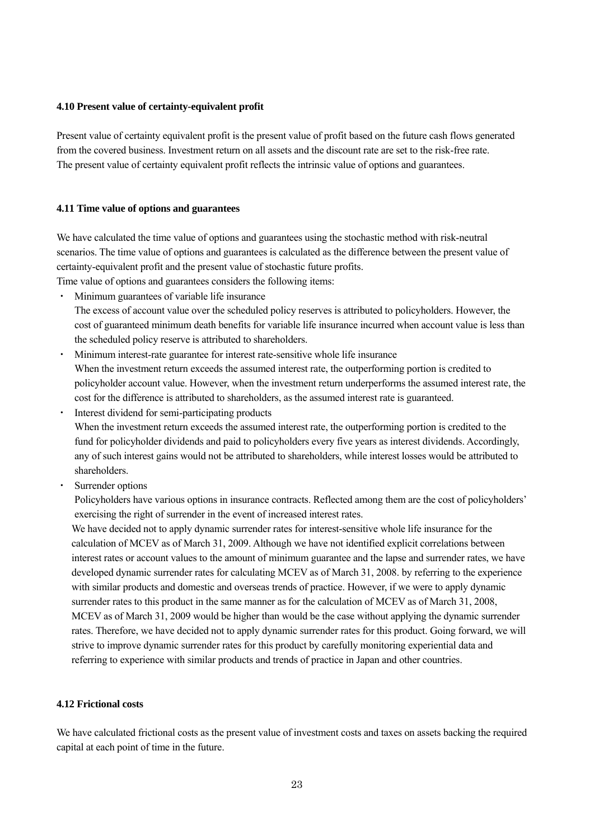#### **4.10 Present value of certainty-equivalent profit**

Present value of certainty equivalent profit is the present value of profit based on the future cash flows generated from the covered business. Investment return on all assets and the discount rate are set to the risk-free rate. The present value of certainty equivalent profit reflects the intrinsic value of options and guarantees.

#### **4.11 Time value of options and guarantees**

We have calculated the time value of options and guarantees using the stochastic method with risk-neutral scenarios. The time value of options and guarantees is calculated as the difference between the present value of certainty-equivalent profit and the present value of stochastic future profits.

Time value of options and guarantees considers the following items:

- ・ Minimum guarantees of variable life insurance The excess of account value over the scheduled policy reserves is attributed to policyholders. However, the cost of guaranteed minimum death benefits for variable life insurance incurred when account value is less than the scheduled policy reserve is attributed to shareholders.
- ・ Minimum interest-rate guarantee for interest rate-sensitive whole life insurance When the investment return exceeds the assumed interest rate, the outperforming portion is credited to policyholder account value. However, when the investment return underperforms the assumed interest rate, the cost for the difference is attributed to shareholders, as the assumed interest rate is guaranteed.
- Interest dividend for semi-participating products When the investment return exceeds the assumed interest rate, the outperforming portion is credited to the fund for policyholder dividends and paid to policyholders every five years as interest dividends. Accordingly, any of such interest gains would not be attributed to shareholders, while interest losses would be attributed to shareholders.
- Surrender options

Policyholders have various options in insurance contracts. Reflected among them are the cost of policyholders' exercising the right of surrender in the event of increased interest rates.

We have decided not to apply dynamic surrender rates for interest-sensitive whole life insurance for the calculation of MCEV as of March 31, 2009. Although we have not identified explicit correlations between interest rates or account values to the amount of minimum guarantee and the lapse and surrender rates, we have developed dynamic surrender rates for calculating MCEV as of March 31, 2008. by referring to the experience with similar products and domestic and overseas trends of practice. However, if we were to apply dynamic surrender rates to this product in the same manner as for the calculation of MCEV as of March 31, 2008, MCEV as of March 31, 2009 would be higher than would be the case without applying the dynamic surrender rates. Therefore, we have decided not to apply dynamic surrender rates for this product. Going forward, we will strive to improve dynamic surrender rates for this product by carefully monitoring experiential data and referring to experience with similar products and trends of practice in Japan and other countries.

#### **4.12 Frictional costs**

We have calculated frictional costs as the present value of investment costs and taxes on assets backing the required capital at each point of time in the future.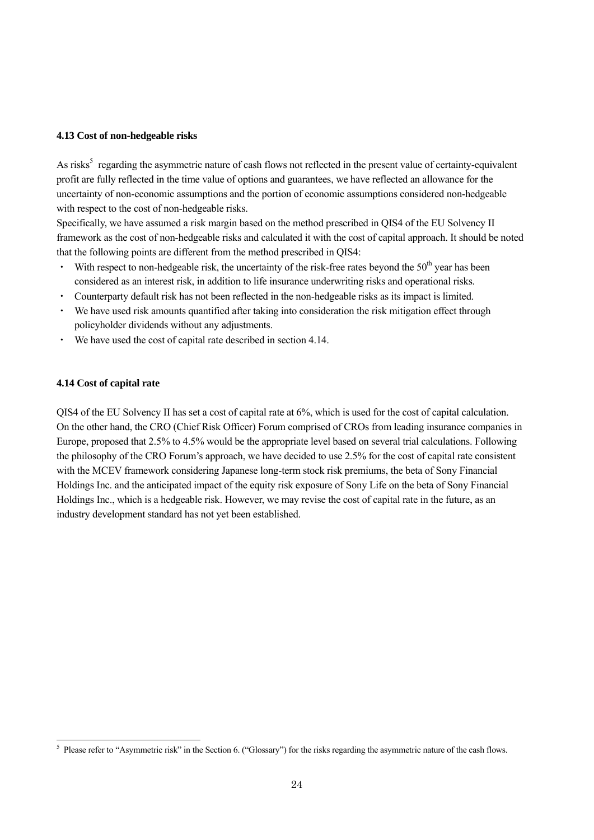#### **4.13 Cost of non-hedgeable risks**

As risks<sup>5</sup> regarding the asymmetric nature of cash flows not reflected in the present value of certainty-equivalent profit are fully reflected in the time value of options and guarantees, we have reflected an allowance for the uncertainty of non-economic assumptions and the portion of economic assumptions considered non-hedgeable with respect to the cost of non-hedgeable risks.

Specifically, we have assumed a risk margin based on the method prescribed in QIS4 of the EU Solvency II framework as the cost of non-hedgeable risks and calculated it with the cost of capital approach. It should be noted that the following points are different from the method prescribed in QIS4:

- With respect to non-hedgeable risk, the uncertainty of the risk-free rates beyond the  $50<sup>th</sup>$  year has been considered as an interest risk, in addition to life insurance underwriting risks and operational risks.
- ・ Counterparty default risk has not been reflected in the non-hedgeable risks as its impact is limited.
- ・ We have used risk amounts quantified after taking into consideration the risk mitigation effect through policyholder dividends without any adjustments.
- ・ We have used the cost of capital rate described in section 4.14.

#### **4.14 Cost of capital rate**

QIS4 of the EU Solvency II has set a cost of capital rate at 6%, which is used for the cost of capital calculation. On the other hand, the CRO (Chief Risk Officer) Forum comprised of CROs from leading insurance companies in Europe, proposed that 2.5% to 4.5% would be the appropriate level based on several trial calculations. Following the philosophy of the CRO Forum's approach, we have decided to use 2.5% for the cost of capital rate consistent with the MCEV framework considering Japanese long-term stock risk premiums, the beta of Sony Financial Holdings Inc. and the anticipated impact of the equity risk exposure of Sony Life on the beta of Sony Financial Holdings Inc., which is a hedgeable risk. However, we may revise the cost of capital rate in the future, as an industry development standard has not yet been established.

<sup>&</sup>lt;sup>5</sup> Please refer to "Asymmetric risk" in the Section 6. ("Glossary") for the risks regarding the asymmetric nature of the cash flows.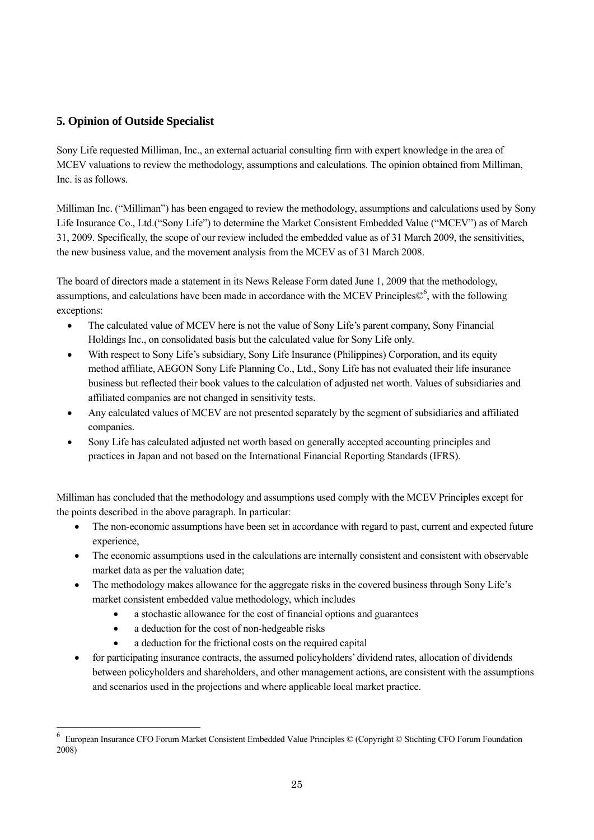# **5. Opinion of Outside Specialist**

Sony Life requested Milliman, Inc., an external actuarial consulting firm with expert knowledge in the area of MCEV valuations to review the methodology, assumptions and calculations. The opinion obtained from Milliman, Inc. is as follows.

Milliman Inc. ("Milliman") has been engaged to review the methodology, assumptions and calculations used by Sony Life Insurance Co., Ltd.("Sony Life") to determine the Market Consistent Embedded Value ("MCEV") as of March 31, 2009. Specifically, the scope of our review included the embedded value as of 31 March 2009, the sensitivities, the new business value, and the movement analysis from the MCEV as of 31 March 2008.

The board of directors made a statement in its News Release Form dated June 1, 2009 that the methodology, assumptions, and calculations have been made in accordance with the MCEV Principles $\mathbb{O}^6$ , with the following exceptions:

- The calculated value of MCEV here is not the value of Sony Life's parent company, Sony Financial Holdings Inc., on consolidated basis but the calculated value for Sony Life only.
- With respect to Sony Life's subsidiary, Sony Life Insurance (Philippines) Corporation, and its equity method affiliate, AEGON Sony Life Planning Co., Ltd., Sony Life has not evaluated their life insurance business but reflected their book values to the calculation of adjusted net worth. Values of subsidiaries and affiliated companies are not changed in sensitivity tests.
- Any calculated values of MCEV are not presented separately by the segment of subsidiaries and affiliated companies.
- Sony Life has calculated adjusted net worth based on generally accepted accounting principles and practices in Japan and not based on the International Financial Reporting Standards (IFRS).

Milliman has concluded that the methodology and assumptions used comply with the MCEV Principles except for the points described in the above paragraph. In particular:

- The non-economic assumptions have been set in accordance with regard to past, current and expected future experience,
- The economic assumptions used in the calculations are internally consistent and consistent with observable market data as per the valuation date;
- The methodology makes allowance for the aggregate risks in the covered business through Sony Life's market consistent embedded value methodology, which includes
	- a stochastic allowance for the cost of financial options and guarantees
	- a deduction for the cost of non-hedgeable risks

 $\overline{a}$ 

- a deduction for the frictional costs on the required capital
- for participating insurance contracts, the assumed policyholders' dividend rates, allocation of dividends between policyholders and shareholders, and other management actions, are consistent with the assumptions and scenarios used in the projections and where applicable local market practice.

<sup>6</sup> European Insurance CFO Forum Market Consistent Embedded Value Principles © (Copyright © Stichting CFO Forum Foundation 2008)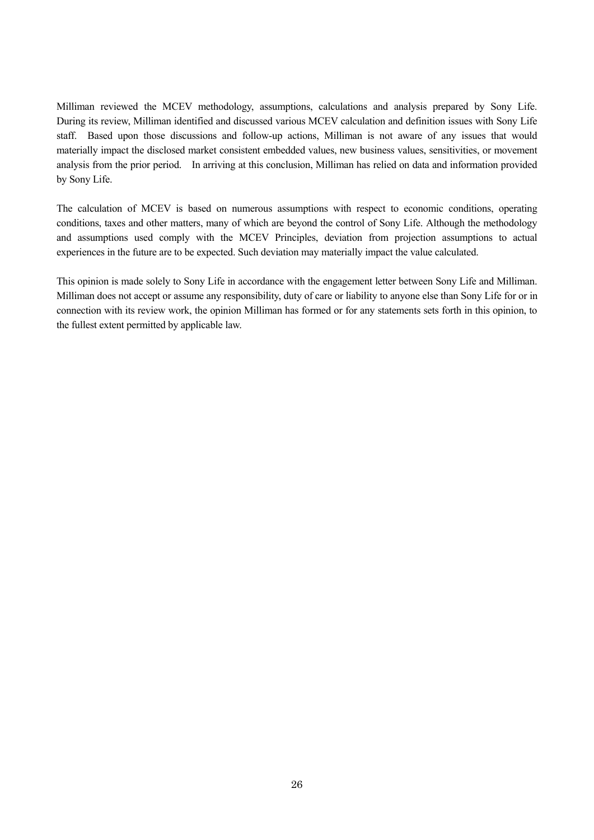Milliman reviewed the MCEV methodology, assumptions, calculations and analysis prepared by Sony Life. During its review, Milliman identified and discussed various MCEV calculation and definition issues with Sony Life staff. Based upon those discussions and follow-up actions, Milliman is not aware of any issues that would materially impact the disclosed market consistent embedded values, new business values, sensitivities, or movement analysis from the prior period. In arriving at this conclusion, Milliman has relied on data and information provided by Sony Life.

The calculation of MCEV is based on numerous assumptions with respect to economic conditions, operating conditions, taxes and other matters, many of which are beyond the control of Sony Life. Although the methodology and assumptions used comply with the MCEV Principles, deviation from projection assumptions to actual experiences in the future are to be expected. Such deviation may materially impact the value calculated.

This opinion is made solely to Sony Life in accordance with the engagement letter between Sony Life and Milliman. Milliman does not accept or assume any responsibility, duty of care or liability to anyone else than Sony Life for or in connection with its review work, the opinion Milliman has formed or for any statements sets forth in this opinion, to the fullest extent permitted by applicable law.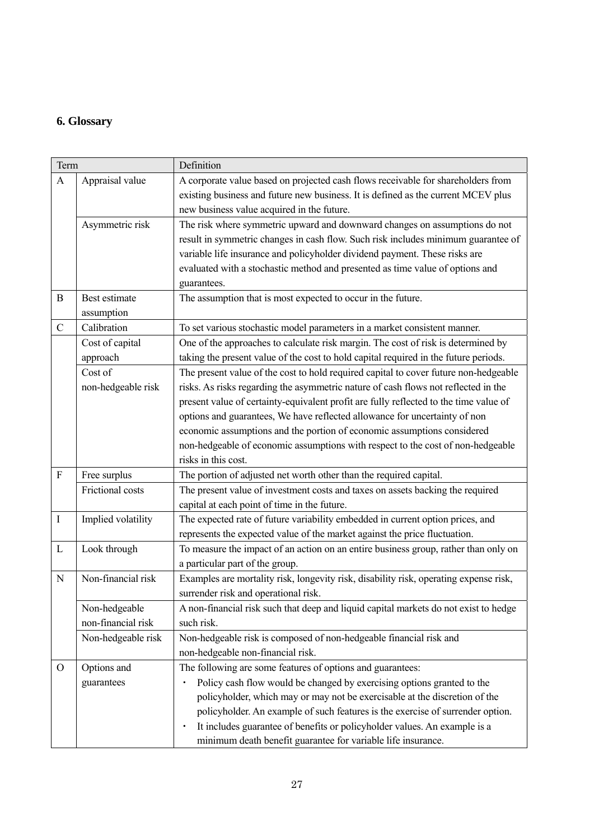# **6. Glossary**

| Term             |                    | Definition                                                                            |
|------------------|--------------------|---------------------------------------------------------------------------------------|
| A                | Appraisal value    | A corporate value based on projected cash flows receivable for shareholders from      |
|                  |                    | existing business and future new business. It is defined as the current MCEV plus     |
|                  |                    | new business value acquired in the future.                                            |
|                  | Asymmetric risk    | The risk where symmetric upward and downward changes on assumptions do not            |
|                  |                    | result in symmetric changes in cash flow. Such risk includes minimum guarantee of     |
|                  |                    | variable life insurance and policyholder dividend payment. These risks are            |
|                  |                    | evaluated with a stochastic method and presented as time value of options and         |
|                  |                    | guarantees.                                                                           |
| $\boldsymbol{B}$ | Best estimate      | The assumption that is most expected to occur in the future.                          |
|                  | assumption         |                                                                                       |
| $\mathcal{C}$    | Calibration        | To set various stochastic model parameters in a market consistent manner.             |
|                  | Cost of capital    | One of the approaches to calculate risk margin. The cost of risk is determined by     |
|                  | approach           | taking the present value of the cost to hold capital required in the future periods.  |
|                  | Cost of            | The present value of the cost to hold required capital to cover future non-hedgeable  |
|                  | non-hedgeable risk | risks. As risks regarding the asymmetric nature of cash flows not reflected in the    |
|                  |                    | present value of certainty-equivalent profit are fully reflected to the time value of |
|                  |                    | options and guarantees, We have reflected allowance for uncertainty of non            |
|                  |                    | economic assumptions and the portion of economic assumptions considered               |
|                  |                    | non-hedgeable of economic assumptions with respect to the cost of non-hedgeable       |
|                  |                    | risks in this cost.                                                                   |
| $\rm F$          | Free surplus       | The portion of adjusted net worth other than the required capital.                    |
|                  | Frictional costs   | The present value of investment costs and taxes on assets backing the required        |
|                  |                    | capital at each point of time in the future.                                          |
| $\mathbf I$      | Implied volatility | The expected rate of future variability embedded in current option prices, and        |
|                  |                    | represents the expected value of the market against the price fluctuation.            |
| L                | Look through       | To measure the impact of an action on an entire business group, rather than only on   |
|                  |                    | a particular part of the group.                                                       |
| $\mathbf N$      | Non-financial risk | Examples are mortality risk, longevity risk, disability risk, operating expense risk, |
|                  |                    | surrender risk and operational risk.                                                  |
|                  | Non-hedgeable      | A non-financial risk such that deep and liquid capital markets do not exist to hedge  |
|                  | non-financial risk | such risk.                                                                            |
|                  | Non-hedgeable risk | Non-hedgeable risk is composed of non-hedgeable financial risk and                    |
|                  |                    | non-hedgeable non-financial risk.                                                     |
| $\Omega$         | Options and        | The following are some features of options and guarantees:                            |
|                  | guarantees         | Policy cash flow would be changed by exercising options granted to the                |
|                  |                    | policyholder, which may or may not be exercisable at the discretion of the            |
|                  |                    | policyholder. An example of such features is the exercise of surrender option.        |
|                  |                    | It includes guarantee of benefits or policyholder values. An example is a             |
|                  |                    | minimum death benefit guarantee for variable life insurance.                          |